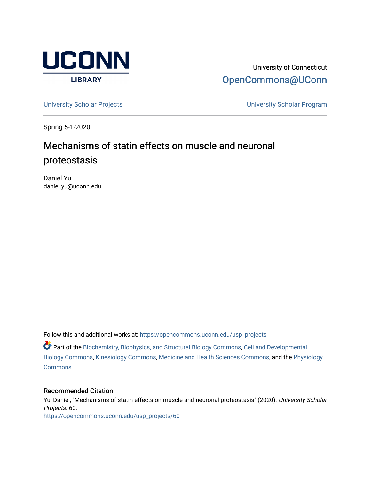

University of Connecticut [OpenCommons@UConn](https://opencommons.uconn.edu/) 

[University Scholar Projects](https://opencommons.uconn.edu/usp_projects) [University Scholar Program](https://opencommons.uconn.edu/usp) 

Spring 5-1-2020

# Mechanisms of statin effects on muscle and neuronal proteostasis

Daniel Yu daniel.yu@uconn.edu

Follow this and additional works at: [https://opencommons.uconn.edu/usp\\_projects](https://opencommons.uconn.edu/usp_projects?utm_source=opencommons.uconn.edu%2Fusp_projects%2F60&utm_medium=PDF&utm_campaign=PDFCoverPages)

Part of the [Biochemistry, Biophysics, and Structural Biology Commons](http://network.bepress.com/hgg/discipline/1?utm_source=opencommons.uconn.edu%2Fusp_projects%2F60&utm_medium=PDF&utm_campaign=PDFCoverPages), [Cell and Developmental](http://network.bepress.com/hgg/discipline/8?utm_source=opencommons.uconn.edu%2Fusp_projects%2F60&utm_medium=PDF&utm_campaign=PDFCoverPages) [Biology Commons](http://network.bepress.com/hgg/discipline/8?utm_source=opencommons.uconn.edu%2Fusp_projects%2F60&utm_medium=PDF&utm_campaign=PDFCoverPages), [Kinesiology Commons,](http://network.bepress.com/hgg/discipline/42?utm_source=opencommons.uconn.edu%2Fusp_projects%2F60&utm_medium=PDF&utm_campaign=PDFCoverPages) [Medicine and Health Sciences Commons,](http://network.bepress.com/hgg/discipline/648?utm_source=opencommons.uconn.edu%2Fusp_projects%2F60&utm_medium=PDF&utm_campaign=PDFCoverPages) and the [Physiology](http://network.bepress.com/hgg/discipline/69?utm_source=opencommons.uconn.edu%2Fusp_projects%2F60&utm_medium=PDF&utm_campaign=PDFCoverPages)  **[Commons](http://network.bepress.com/hgg/discipline/69?utm_source=opencommons.uconn.edu%2Fusp_projects%2F60&utm_medium=PDF&utm_campaign=PDFCoverPages)** 

### Recommended Citation

Yu, Daniel, "Mechanisms of statin effects on muscle and neuronal proteostasis" (2020). University Scholar Projects. 60. [https://opencommons.uconn.edu/usp\\_projects/60](https://opencommons.uconn.edu/usp_projects/60?utm_source=opencommons.uconn.edu%2Fusp_projects%2F60&utm_medium=PDF&utm_campaign=PDFCoverPages)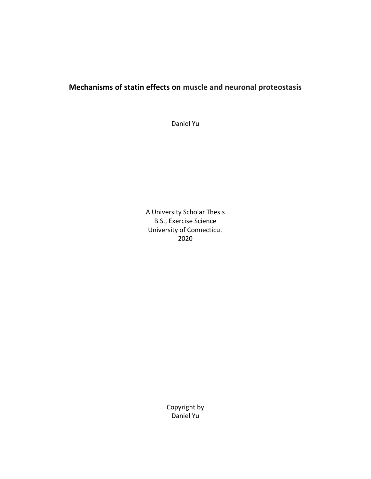## **Mechanisms of statin effects on muscle and neuronal proteostasis**

Daniel Yu

A University Scholar Thesis B.S., Exercise Science University of Connecticut 2020

> Copyright by Daniel Yu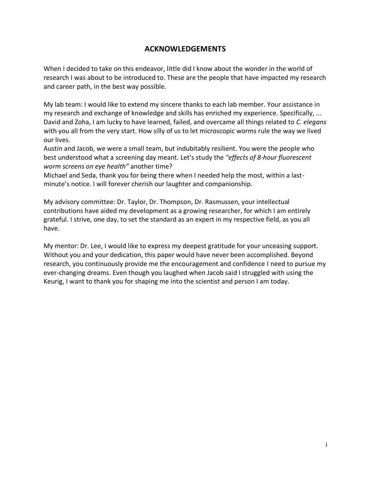### **ACKNOWLEDGEMENTS**

When I decided to take on this endeavor, little did I know about the wonder in the world of research I was about to be introduced to. These are the people that have impacted my research and career path, in the best way possible.

My lab team: I would like to extend my sincere thanks to each lab member. Your assistance in my research and exchange of knowledge and skills has enriched my experience. Specifically, ... David and Zoha, I am lucky to have learned, failed, and overcame all things related to *C. elegans* with you all from the very start. How silly of us to let microscopic worms rule the way we lived our lives.

Austin and Jacob, we were a small team, but indubitably resilient. You were the people who best understood what a screening day meant. Let's study the *"effects of 8-hour fluorescent worm screens on eye health"* another time?

Michael and Seda, thank you for being there when I needed help the most, within a lastminute's notice. I will forever cherish our laughter and companionship.

My advisory committee: Dr. Taylor, Dr. Thompson, Dr. Rasmussen, your intellectual contributions have aided my development as a growing researcher, for which I am entirely grateful. I strive, one day, to set the standard as an expert in my respective field, as you all have.

My mentor: Dr. Lee, I would like to express my deepest gratitude for your unceasing support. Without you and your dedication, this paper would have never been accomplished. Beyond research, you continuously provide me the encouragement and confidence I need to pursue my ever-changing dreams. Even though you laughed when Jacob said I struggled with using the Keurig, I want to thank you for shaping me into the scientist and person I am today.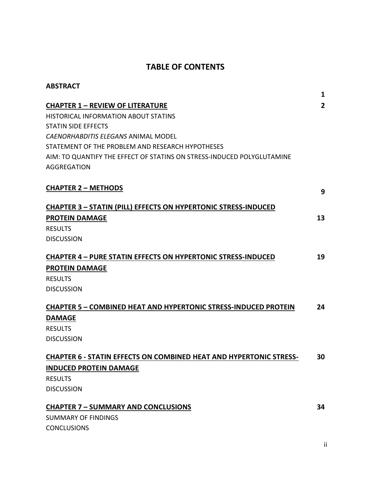## **TABLE OF CONTENTS**

| <b>ABSTRACT</b>                                                           | 1              |
|---------------------------------------------------------------------------|----------------|
| <b>CHAPTER 1 - REVIEW OF LITERATURE</b>                                   | $\overline{2}$ |
| <b>HISTORICAL INFORMATION ABOUT STATINS</b>                               |                |
| <b>STATIN SIDE EFFECTS</b>                                                |                |
| CAENORHABDITIS ELEGANS ANIMAL MODEL                                       |                |
| STATEMENT OF THE PROBLEM AND RESEARCH HYPOTHESES                          |                |
| AIM: TO QUANTIFY THE EFFECT OF STATINS ON STRESS-INDUCED POLYGLUTAMINE    |                |
| <b>AGGREGATION</b>                                                        |                |
| <b>CHAPTER 2 - METHODS</b>                                                | 9              |
| <b>CHAPTER 3 - STATIN (PILL) EFFECTS ON HYPERTONIC STRESS-INDUCED</b>     |                |
| <b>PROTEIN DAMAGE</b>                                                     | 13             |
| <b>RESULTS</b>                                                            |                |
| <b>DISCUSSION</b>                                                         |                |
| <b>CHAPTER 4 - PURE STATIN EFFECTS ON HYPERTONIC STRESS-INDUCED</b>       | 19             |
| <b>PROTEIN DAMAGE</b>                                                     |                |
| <b>RESULTS</b>                                                            |                |
| <b>DISCUSSION</b>                                                         |                |
| <b>CHAPTER 5 - COMBINED HEAT AND HYPERTONIC STRESS-INDUCED PROTEIN</b>    | 24             |
| <b>DAMAGE</b>                                                             |                |
| <b>RESULTS</b>                                                            |                |
| <b>DISCUSSION</b>                                                         |                |
| <b>CHAPTER 6 - STATIN EFFECTS ON COMBINED HEAT AND HYPERTONIC STRESS-</b> | 30             |
| <b>INDUCED PROTEIN DAMAGE</b>                                             |                |
| <b>RESULTS</b>                                                            |                |
| <b>DISCUSSION</b>                                                         |                |
| <b>CHAPTER 7 - SUMMARY AND CONCLUSIONS</b>                                | 34             |
| <b>SUMMARY OF FINDINGS</b>                                                |                |
| <b>CONCLUSIONS</b>                                                        |                |
|                                                                           |                |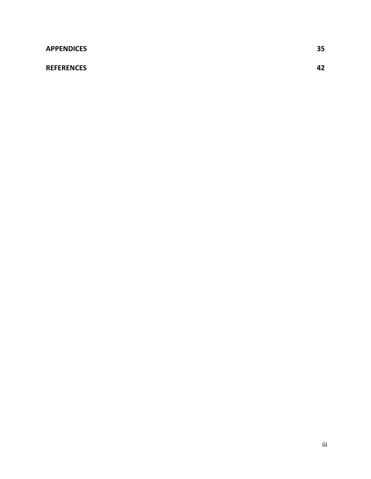### **REFERENCES 42**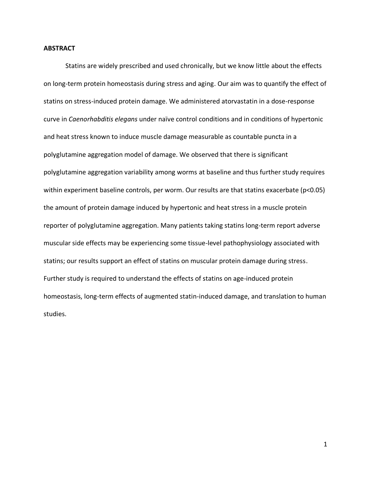#### **ABSTRACT**

Statins are widely prescribed and used chronically, but we know little about the effects on long-term protein homeostasis during stress and aging. Our aim was to quantify the effect of statins on stress-induced protein damage. We administered atorvastatin in a dose-response curve in *Caenorhabditis elegans* under naïve control conditions and in conditions of hypertonic and heat stress known to induce muscle damage measurable as countable puncta in a polyglutamine aggregation model of damage. We observed that there is significant polyglutamine aggregation variability among worms at baseline and thus further study requires within experiment baseline controls, per worm. Our results are that statins exacerbate (p<0.05) the amount of protein damage induced by hypertonic and heat stress in a muscle protein reporter of polyglutamine aggregation. Many patients taking statins long-term report adverse muscular side effects may be experiencing some tissue-level pathophysiology associated with statins; our results support an effect of statins on muscular protein damage during stress. Further study is required to understand the effects of statins on age-induced protein homeostasis, long-term effects of augmented statin-induced damage, and translation to human studies.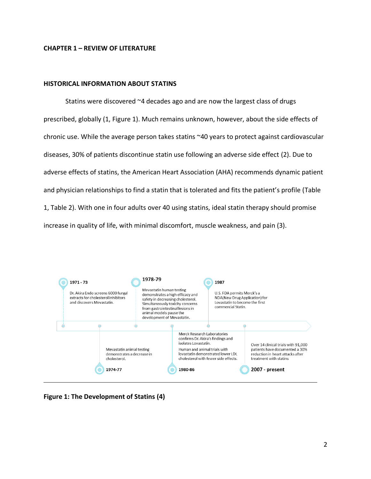### **CHAPTER 1 – REVIEW OF LITERATURE**

### **HISTORICAL INFORMATION ABOUT STATINS**

Statins were discovered ~4 decades ago and are now the largest class of drugs prescribed, globally (1, Figure 1). Much remains unknown, however, about the side effects of chronic use. While the average person takes statins ~40 years to protect against cardiovascular diseases, 30% of patients discontinue statin use following an adverse side effect (2). Due to adverse effects of statins, the American Heart Association (AHA) recommends dynamic patient and physician relationships to find a statin that is tolerated and fits the patient's profile (Table 1, Table 2). With one in four adults over 40 using statins, ideal statin therapy should promise increase in quality of life, with minimal discomfort, muscle weakness, and pain (3).



**Figure 1: The Development of Statins (4)**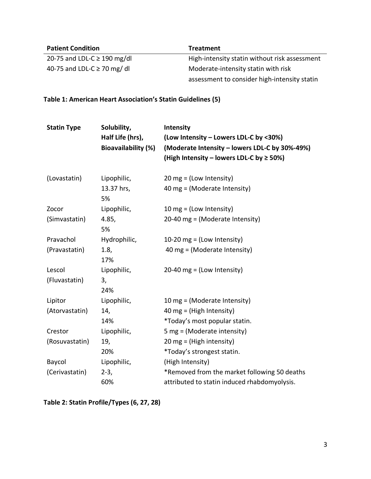| <b>Patient Condition</b>         | <b>Treatment</b>                              |
|----------------------------------|-----------------------------------------------|
| 20-75 and LDL-C $\geq$ 190 mg/dl | High-intensity statin without risk assessment |
| 40-75 and LDL-C $\geq$ 70 mg/dl  | Moderate-intensity statin with risk           |
|                                  | assessment to consider high-intensity statin  |

**Table 1: American Heart Association's Statin Guidelines (5)**

| <b>Statin Type</b> | Solubility,<br>Half Life (hrs),<br><b>Bioavailability (%)</b> | Intensity<br>(Low Intensity - Lowers LDL-C by <30%)<br>(Moderate Intensity – lowers LDL-C by 30%-49%)<br>(High Intensity – lowers LDL-C by $\geq$ 50%) |
|--------------------|---------------------------------------------------------------|--------------------------------------------------------------------------------------------------------------------------------------------------------|
| (Lovastatin)       | Lipophilic,                                                   | $20 \text{ mg} = (Low Intensity)$                                                                                                                      |
|                    | 13.37 hrs,<br>5%                                              | 40 mg = (Moderate Intensity)                                                                                                                           |
| Zocor              | Lipophilic,                                                   | 10 mg = $($ Low Intensity $)$                                                                                                                          |
| (Simvastatin)      | 4.85,<br>5%                                                   | 20-40 mg = (Moderate Intensity)                                                                                                                        |
| Pravachol          | Hydrophilic,                                                  | 10-20 mg = $($ Low Intensity $)$                                                                                                                       |
| (Pravastatin)      | 1.8,<br>17%                                                   | 40 mg = (Moderate Intensity)                                                                                                                           |
| Lescol             | Lipophilic,                                                   | $20-40$ mg = (Low Intensity)                                                                                                                           |
| (Fluvastatin)      | 3,<br>24%                                                     |                                                                                                                                                        |
| Lipitor            | Lipophilic,                                                   | 10 mg = (Moderate Intensity)                                                                                                                           |
| (Atorvastatin)     | 14,                                                           | 40 mg = (High Intensity)                                                                                                                               |
|                    | 14%                                                           | *Today's most popular statin.                                                                                                                          |
| Crestor            | Lipophilic,                                                   | 5 mg = $(Moderate intensity)$                                                                                                                          |
| (Rosuvastatin)     | 19,                                                           | $20 \text{ mg} = (High intensity)$                                                                                                                     |
|                    | 20%                                                           | *Today's strongest statin.                                                                                                                             |
| Baycol             | Lipophilic,                                                   | (High Intensity)                                                                                                                                       |
| (Cerivastatin)     | $2-3,$                                                        | *Removed from the market following 50 deaths                                                                                                           |
|                    | 60%                                                           | attributed to statin induced rhabdomyolysis.                                                                                                           |

**Table 2: Statin Profile/Types (6, 27, 28)**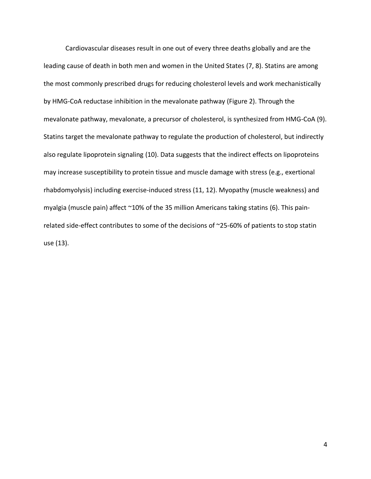Cardiovascular diseases result in one out of every three deaths globally and are the leading cause of death in both men and women in the United States (7, 8). Statins are among the most commonly prescribed drugs for reducing cholesterol levels and work mechanistically by HMG-CoA reductase inhibition in the mevalonate pathway (Figure 2). Through the mevalonate pathway, mevalonate, a precursor of cholesterol, is synthesized from HMG-CoA (9). Statins target the mevalonate pathway to regulate the production of cholesterol, but indirectly also regulate lipoprotein signaling (10). Data suggests that the indirect effects on lipoproteins may increase susceptibility to protein tissue and muscle damage with stress (e.g., exertional rhabdomyolysis) including exercise-induced stress (11, 12). Myopathy (muscle weakness) and myalgia (muscle pain) affect ~10% of the 35 million Americans taking statins (6). This painrelated side-effect contributes to some of the decisions of ~25-60% of patients to stop statin use (13).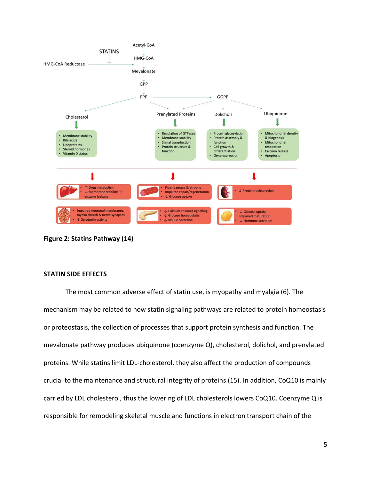

**Figure 2: Statins Pathway (14)**

### **STATIN SIDE EFFECTS**

The most common adverse effect of statin use, is myopathy and myalgia (6). The mechanism may be related to how statin signaling pathways are related to protein homeostasis or proteostasis, the collection of processes that support protein synthesis and function. The mevalonate pathway produces ubiquinone (coenzyme Q), cholesterol, dolichol, and prenylated proteins. While statins limit LDL-cholesterol, they also affect the production of compounds crucial to the maintenance and structural integrity of proteins (15). In addition, CoQ10 is mainly carried by LDL cholesterol, thus the lowering of LDL cholesterols lowers CoQ10. Coenzyme Q is responsible for remodeling skeletal muscle and functions in electron transport chain of the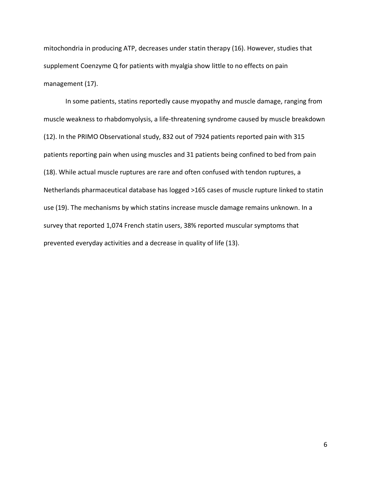mitochondria in producing ATP, decreases under statin therapy (16). However, studies that supplement Coenzyme Q for patients with myalgia show little to no effects on pain management (17).

In some patients, statins reportedly cause myopathy and muscle damage, ranging from muscle weakness to rhabdomyolysis, a life-threatening syndrome caused by muscle breakdown (12). In the PRIMO Observational study, 832 out of 7924 patients reported pain with 315 patients reporting pain when using muscles and 31 patients being confined to bed from pain (18). While actual muscle ruptures are rare and often confused with tendon ruptures, a Netherlands pharmaceutical database has logged >165 cases of muscle rupture linked to statin use (19). The mechanisms by which statins increase muscle damage remains unknown. In a survey that reported 1,074 French statin users, 38% reported muscular symptoms that prevented everyday activities and a decrease in quality of life (13).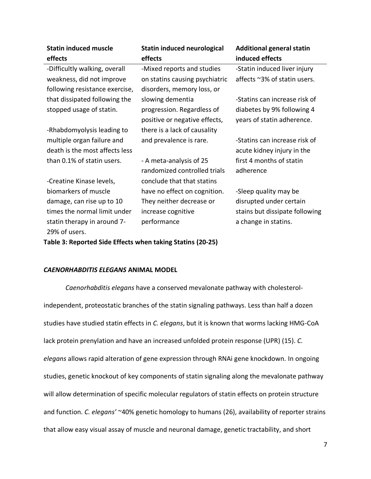| <b>Statin induced muscle</b><br>effects                      | <b>Statin induced neurological</b><br>effects               | <b>Additional general statin</b><br>induced effects         |
|--------------------------------------------------------------|-------------------------------------------------------------|-------------------------------------------------------------|
| -Difficultly walking, overall                                | -Mixed reports and studies                                  | -Statin induced liver injury                                |
| weakness, did not improve                                    | on statins causing psychiatric                              | affects ~3% of statin users.                                |
| following resistance exercise,                               | disorders, memory loss, or                                  |                                                             |
| that dissipated following the                                | slowing dementia                                            | -Statins can increase risk of                               |
| stopped usage of statin.                                     | progression. Regardless of<br>positive or negative effects, | diabetes by 9% following 4<br>years of statin adherence.    |
| -Rhabdomyolysis leading to                                   | there is a lack of causality                                |                                                             |
| multiple organ failure and<br>death is the most affects less | and prevalence is rare.                                     | -Statins can increase risk of<br>acute kidney injury in the |
| than 0.1% of statin users.                                   | - A meta-analysis of 25<br>randomized controlled trials     | first 4 months of statin<br>adherence                       |
| -Creatine Kinase levels,                                     | conclude that that statins                                  |                                                             |
| biomarkers of muscle                                         | have no effect on cognition.                                | -Sleep quality may be                                       |
| damage, can rise up to 10                                    | They neither decrease or                                    | disrupted under certain                                     |
| times the normal limit under                                 | increase cognitive                                          | stains but dissipate following                              |
| statin therapy in around 7-                                  | performance                                                 | a change in statins.                                        |
| 29% of users.                                                |                                                             |                                                             |

**Table 3: Reported Side Effects when taking Statins (20-25)**

### *CAENORHABDITIS ELEGANS* **ANIMAL MODEL**

*Caenorhabditis elegans* have a conserved mevalonate pathway with cholesterolindependent, proteostatic branches of the statin signaling pathways. Less than half a dozen studies have studied statin effects in *C. elegans*, but it is known that worms lacking HMG-CoA lack protein prenylation and have an increased unfolded protein response (UPR) (15). *C. elegans* allows rapid alteration of gene expression through RNAi gene knockdown. In ongoing studies, genetic knockout of key components of statin signaling along the mevalonate pathway will allow determination of specific molecular regulators of statin effects on protein structure and function. *C. elegans'* ~40% genetic homology to humans (26), availability of reporter strains that allow easy visual assay of muscle and neuronal damage, genetic tractability, and short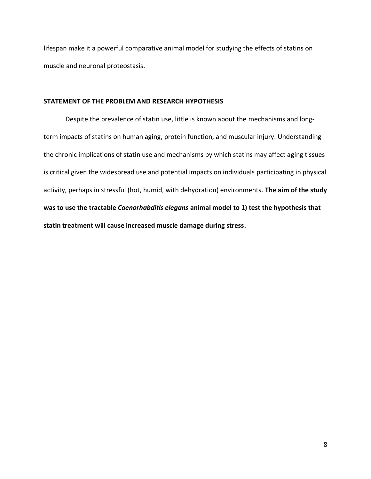lifespan make it a powerful comparative animal model for studying the effects of statins on muscle and neuronal proteostasis.

### **STATEMENT OF THE PROBLEM AND RESEARCH HYPOTHESIS**

Despite the prevalence of statin use, little is known about the mechanisms and longterm impacts of statins on human aging, protein function, and muscular injury. Understanding the chronic implications of statin use and mechanisms by which statins may affect aging tissues is critical given the widespread use and potential impacts on individuals participating in physical activity, perhaps in stressful (hot, humid, with dehydration) environments. **The aim of the study was to use the tractable** *Caenorhabditis elegans* **animal model to 1) test the hypothesis that statin treatment will cause increased muscle damage during stress.**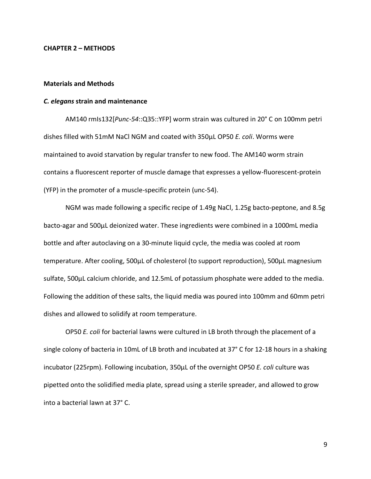#### **CHAPTER 2 – METHODS**

### **Materials and Methods**

#### *C. elegans* **strain and maintenance**

AM140 rmIs132[*Punc-54*::Q35::YFP] worm strain was cultured in 20° C on 100mm petri dishes filled with 51mM NaCl NGM and coated with 350µL OP50 *E. coli*. Worms were maintained to avoid starvation by regular transfer to new food. The AM140 worm strain contains a fluorescent reporter of muscle damage that expresses a yellow-fluorescent-protein (YFP) in the promoter of a muscle-specific protein (unc-54).

NGM was made following a specific recipe of 1.49g NaCl, 1.25g bacto-peptone, and 8.5g bacto-agar and 500µL deionized water. These ingredients were combined in a 1000mL media bottle and after autoclaving on a 30-minute liquid cycle, the media was cooled at room temperature. After cooling, 500µL of cholesterol (to support reproduction), 500µL magnesium sulfate, 500µL calcium chloride, and 12.5mL of potassium phosphate were added to the media. Following the addition of these salts, the liquid media was poured into 100mm and 60mm petri dishes and allowed to solidify at room temperature.

OP50 *E. coli* for bacterial lawns were cultured in LB broth through the placement of a single colony of bacteria in 10mL of LB broth and incubated at 37° C for 12-18 hours in a shaking incubator (225rpm). Following incubation, 350µL of the overnight OP50 *E. coli* culture was pipetted onto the solidified media plate, spread using a sterile spreader, and allowed to grow into a bacterial lawn at 37° C.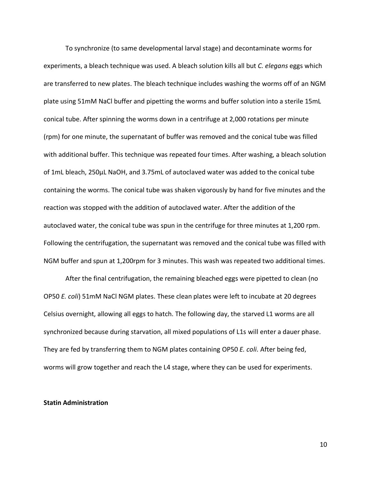To synchronize (to same developmental larval stage) and decontaminate worms for experiments, a bleach technique was used. A bleach solution kills all but *C. elegans* eggs which are transferred to new plates. The bleach technique includes washing the worms off of an NGM plate using 51mM NaCl buffer and pipetting the worms and buffer solution into a sterile 15mL conical tube. After spinning the worms down in a centrifuge at 2,000 rotations per minute (rpm) for one minute, the supernatant of buffer was removed and the conical tube was filled with additional buffer. This technique was repeated four times. After washing, a bleach solution of 1mL bleach, 250µL NaOH, and 3.75mL of autoclaved water was added to the conical tube containing the worms. The conical tube was shaken vigorously by hand for five minutes and the reaction was stopped with the addition of autoclaved water. After the addition of the autoclaved water, the conical tube was spun in the centrifuge for three minutes at 1,200 rpm. Following the centrifugation, the supernatant was removed and the conical tube was filled with NGM buffer and spun at 1,200rpm for 3 minutes. This wash was repeated two additional times.

After the final centrifugation, the remaining bleached eggs were pipetted to clean (no OP50 *E. coli*) 51mM NaCl NGM plates. These clean plates were left to incubate at 20 degrees Celsius overnight, allowing all eggs to hatch. The following day, the starved L1 worms are all synchronized because during starvation, all mixed populations of L1s will enter a dauer phase. They are fed by transferring them to NGM plates containing OP50 *E. coli.* After being fed, worms will grow together and reach the L4 stage, where they can be used for experiments.

### **Statin Administration**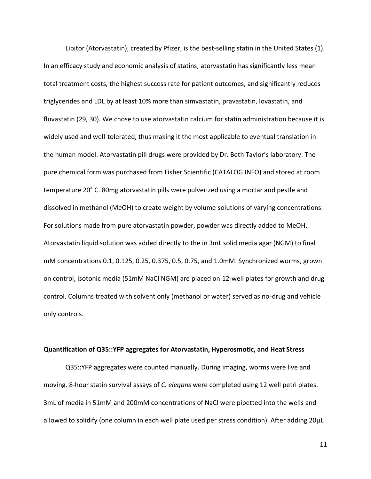Lipitor (Atorvastatin), created by Pfizer, is the best-selling statin in the United States (1). In an efficacy study and economic analysis of statins, atorvastatin has significantly less mean total treatment costs, the highest success rate for patient outcomes, and significantly reduces triglycerides and LDL by at least 10% more than simvastatin, pravastatin, lovastatin, and fluvastatin (29, 30). We chose to use atorvastatin calcium for statin administration because it is widely used and well-tolerated, thus making it the most applicable to eventual translation in the human model. Atorvastatin pill drugs were provided by Dr. Beth Taylor's laboratory. The pure chemical form was purchased from Fisher Scientific (CATALOG INFO) and stored at room temperature 20° C. 80mg atorvastatin pills were pulverized using a mortar and pestle and dissolved in methanol (MeOH) to create weight by volume solutions of varying concentrations. For solutions made from pure atorvastatin powder, powder was directly added to MeOH. Atorvastatin liquid solution was added directly to the in 3mL solid media agar (NGM) to final mM concentrations 0.1, 0.125, 0.25, 0.375, 0.5, 0.75, and 1.0mM. Synchronized worms, grown on control, isotonic media (51mM NaCl NGM) are placed on 12-well plates for growth and drug control. Columns treated with solvent only (methanol or water) served as no-drug and vehicle only controls.

### **Quantification of Q35::YFP aggregates for Atorvastatin, Hyperosmotic, and Heat Stress**

Q35::YFP aggregates were counted manually. During imaging, worms were live and moving. 8-hour statin survival assays of *C. elegans* were completed using 12 well petri plates. 3mL of media in 51mM and 200mM concentrations of NaCl were pipetted into the wells and allowed to solidify (one column in each well plate used per stress condition). After adding 20µL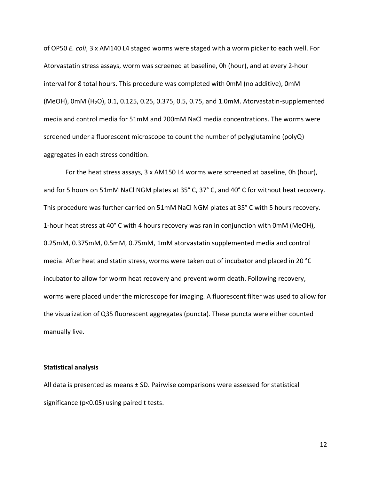of OP50 *E. coli*, 3 x AM140 L4 staged worms were staged with a worm picker to each well. For Atorvastatin stress assays, worm was screened at baseline, 0h (hour), and at every 2-hour interval for 8 total hours. This procedure was completed with 0mM (no additive), 0mM (MeOH), 0mM (H2O), 0.1, 0.125, 0.25, 0.375, 0.5, 0.75, and 1.0mM. Atorvastatin-supplemented media and control media for 51mM and 200mM NaCl media concentrations. The worms were screened under a fluorescent microscope to count the number of polyglutamine (polyQ) aggregates in each stress condition.

For the heat stress assays, 3 x AM150 L4 worms were screened at baseline, 0h (hour), and for 5 hours on 51mM NaCl NGM plates at 35° C, 37° C, and 40° C for without heat recovery. This procedure was further carried on 51mM NaCl NGM plates at 35° C with 5 hours recovery. 1-hour heat stress at 40° C with 4 hours recovery was ran in conjunction with 0mM (MeOH), 0.25mM, 0.375mM, 0.5mM, 0.75mM, 1mM atorvastatin supplemented media and control media. After heat and statin stress, worms were taken out of incubator and placed in 20 °C incubator to allow for worm heat recovery and prevent worm death. Following recovery, worms were placed under the microscope for imaging. A fluorescent filter was used to allow for the visualization of Q35 fluorescent aggregates (puncta). These puncta were either counted manually live.

### **Statistical analysis**

All data is presented as means ± SD. Pairwise comparisons were assessed for statistical significance (p<0.05) using paired t tests.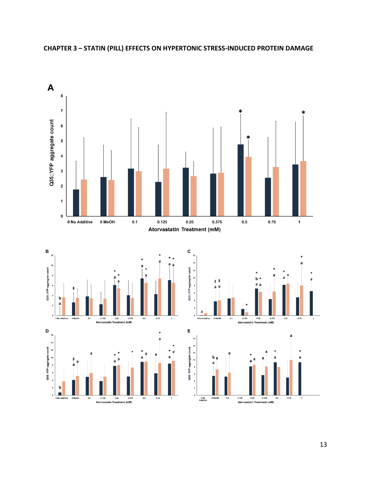

### **CHAPTER 3 – STATIN (PILL) EFFECTS ON HYPERTONIC STRESS-INDUCED PROTEIN DAMAGE**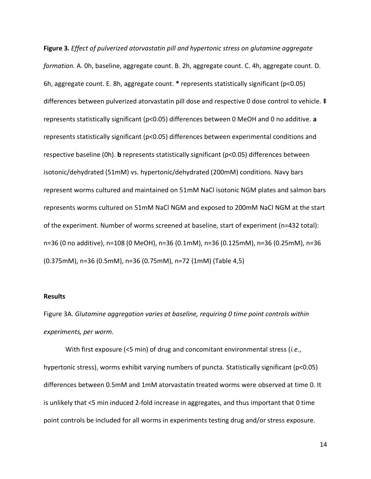**Figure 3.** *Effect of pulverized atorvastatin pill and hypertonic stress on glutamine aggregate formation.* A. 0h, baseline, aggregate count. B. 2h, aggregate count. C. 4h, aggregate count. D. 6h, aggregate count. E. 8h, aggregate count. **\*** represents statistically significant (p<0.05) differences between pulverized atorvastatin pill dose and respective 0 dose control to vehicle. **‡**  represents statistically significant (p<0.05) differences between 0 MeOH and 0 no additive. **a**  represents statistically significant (p<0.05) differences between experimental conditions and respective baseline (0h). **b** represents statistically significant (p<0.05) differences between isotonic/dehydrated (51mM) vs. hypertonic/dehydrated (200mM) conditions. Navy bars represent worms cultured and maintained on 51mM NaCl isotonic NGM plates and salmon bars represents worms cultured on 51mM NaCl NGM and exposed to 200mM NaCl NGM at the start of the experiment. Number of worms screened at baseline, start of experiment (n=432 total): n=36 (0 no additive), n=108 (0 MeOH), n=36 (0.1mM), n=36 (0.125mM), n=36 (0.25mM), n=36 (0.375mM), n=36 (0.5mM), n=36 (0.75mM), n=72 (1mM) (Table 4,5)

### **Results**

Figure 3A. *Glutamine aggregation varies at baseline, requiring 0 time point controls within experiments, per worm.*

With first exposure (<5 min) of drug and concomitant environmental stress (*i.e.*, hypertonic stress), worms exhibit varying numbers of puncta. Statistically significant (p<0.05) differences between 0.5mM and 1mM atorvastatin treated worms were observed at time 0. It is unlikely that <5 min induced 2-fold increase in aggregates, and thus important that 0 time point controls be included for all worms in experiments testing drug and/or stress exposure.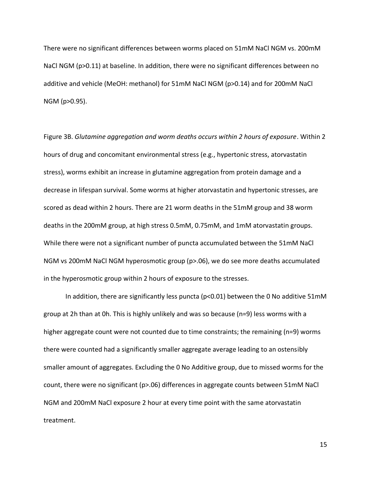There were no significant differences between worms placed on 51mM NaCl NGM vs. 200mM NaCl NGM (p>0.11) at baseline. In addition, there were no significant differences between no additive and vehicle (MeOH: methanol) for 51mM NaCl NGM (p>0.14) and for 200mM NaCl NGM (p>0.95).

Figure 3B. *Glutamine aggregation and worm deaths occurs within 2 hours of exposure*. Within 2 hours of drug and concomitant environmental stress (e.g., hypertonic stress, atorvastatin stress), worms exhibit an increase in glutamine aggregation from protein damage and a decrease in lifespan survival. Some worms at higher atorvastatin and hypertonic stresses, are scored as dead within 2 hours. There are 21 worm deaths in the 51mM group and 38 worm deaths in the 200mM group, at high stress 0.5mM, 0.75mM, and 1mM atorvastatin groups. While there were not a significant number of puncta accumulated between the 51mM NaCl NGM vs 200mM NaCl NGM hyperosmotic group (p>.06), we do see more deaths accumulated in the hyperosmotic group within 2 hours of exposure to the stresses.

In addition, there are significantly less puncta (p<0.01) between the 0 No additive 51mM group at 2h than at 0h. This is highly unlikely and was so because (n=9) less worms with a higher aggregate count were not counted due to time constraints; the remaining (n=9) worms there were counted had a significantly smaller aggregate average leading to an ostensibly smaller amount of aggregates. Excluding the 0 No Additive group, due to missed worms for the count, there were no significant (p>.06) differences in aggregate counts between 51mM NaCl NGM and 200mM NaCl exposure 2 hour at every time point with the same atorvastatin treatment.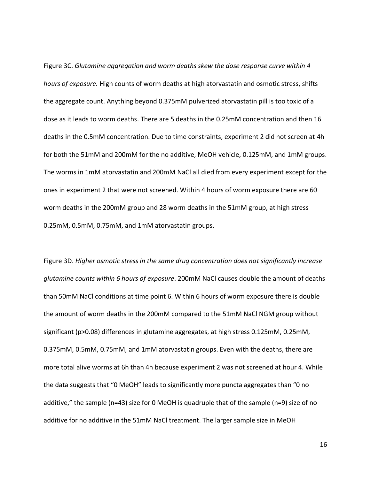Figure 3C. *Glutamine aggregation and worm deaths skew the dose response curve within 4 hours of exposure.* High counts of worm deaths at high atorvastatin and osmotic stress, shifts the aggregate count. Anything beyond 0.375mM pulverized atorvastatin pill is too toxic of a dose as it leads to worm deaths. There are 5 deaths in the 0.25mM concentration and then 16 deaths in the 0.5mM concentration. Due to time constraints, experiment 2 did not screen at 4h for both the 51mM and 200mM for the no additive, MeOH vehicle, 0.125mM, and 1mM groups. The worms in 1mM atorvastatin and 200mM NaCl all died from every experiment except for the ones in experiment 2 that were not screened. Within 4 hours of worm exposure there are 60 worm deaths in the 200mM group and 28 worm deaths in the 51mM group, at high stress 0.25mM, 0.5mM, 0.75mM, and 1mM atorvastatin groups.

Figure 3D. *Higher osmotic stress in the same drug concentration does not significantly increase glutamine counts within 6 hours of exposure*. 200mM NaCl causes double the amount of deaths than 50mM NaCl conditions at time point 6. Within 6 hours of worm exposure there is double the amount of worm deaths in the 200mM compared to the 51mM NaCl NGM group without significant (p>0.08) differences in glutamine aggregates, at high stress 0.125mM, 0.25mM, 0.375mM, 0.5mM, 0.75mM, and 1mM atorvastatin groups. Even with the deaths, there are more total alive worms at 6h than 4h because experiment 2 was not screened at hour 4. While the data suggests that "0 MeOH" leads to significantly more puncta aggregates than "0 no additive," the sample (n=43) size for 0 MeOH is quadruple that of the sample (n=9) size of no additive for no additive in the 51mM NaCl treatment. The larger sample size in MeOH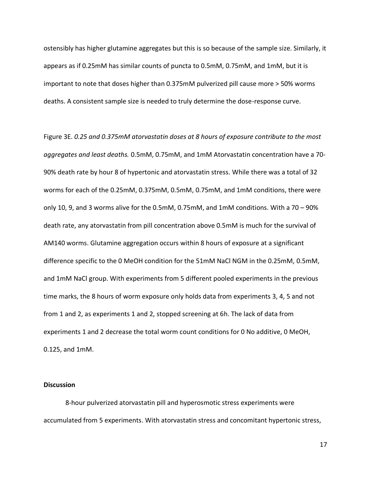ostensibly has higher glutamine aggregates but this is so because of the sample size. Similarly, it appears as if 0.25mM has similar counts of puncta to 0.5mM, 0.75mM, and 1mM, but it is important to note that doses higher than 0.375mM pulverized pill cause more > 50% worms deaths. A consistent sample size is needed to truly determine the dose-response curve.

Figure 3E. *0.25 and 0.375mM atorvastatin doses at 8 hours of exposure contribute to the most aggregates and least deaths.* 0.5mM, 0.75mM, and 1mM Atorvastatin concentration have a 70- 90% death rate by hour 8 of hypertonic and atorvastatin stress. While there was a total of 32 worms for each of the 0.25mM, 0.375mM, 0.5mM, 0.75mM, and 1mM conditions, there were only 10, 9, and 3 worms alive for the 0.5mM, 0.75mM, and 1mM conditions. With a  $70 - 90\%$ death rate, any atorvastatin from pill concentration above 0.5mM is much for the survival of AM140 worms. Glutamine aggregation occurs within 8 hours of exposure at a significant difference specific to the 0 MeOH condition for the 51mM NaCl NGM in the 0.25mM, 0.5mM, and 1mM NaCl group. With experiments from 5 different pooled experiments in the previous time marks, the 8 hours of worm exposure only holds data from experiments 3, 4, 5 and not from 1 and 2, as experiments 1 and 2, stopped screening at 6h. The lack of data from experiments 1 and 2 decrease the total worm count conditions for 0 No additive, 0 MeOH, 0.125, and 1mM.

### **Discussion**

8-hour pulverized atorvastatin pill and hyperosmotic stress experiments were accumulated from 5 experiments. With atorvastatin stress and concomitant hypertonic stress,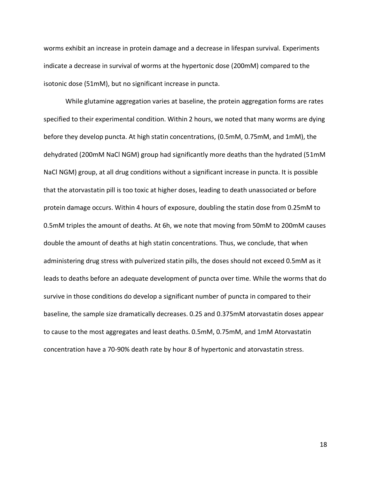worms exhibit an increase in protein damage and a decrease in lifespan survival. Experiments indicate a decrease in survival of worms at the hypertonic dose (200mM) compared to the isotonic dose (51mM), but no significant increase in puncta.

While glutamine aggregation varies at baseline, the protein aggregation forms are rates specified to their experimental condition. Within 2 hours, we noted that many worms are dying before they develop puncta. At high statin concentrations, (0.5mM, 0.75mM, and 1mM), the dehydrated (200mM NaCl NGM) group had significantly more deaths than the hydrated (51mM NaCl NGM) group, at all drug conditions without a significant increase in puncta. It is possible that the atorvastatin pill is too toxic at higher doses, leading to death unassociated or before protein damage occurs. Within 4 hours of exposure, doubling the statin dose from 0.25mM to 0.5mM triples the amount of deaths. At 6h, we note that moving from 50mM to 200mM causes double the amount of deaths at high statin concentrations. Thus, we conclude, that when administering drug stress with pulverized statin pills, the doses should not exceed 0.5mM as it leads to deaths before an adequate development of puncta over time. While the worms that do survive in those conditions do develop a significant number of puncta in compared to their baseline, the sample size dramatically decreases. 0.25 and 0.375mM atorvastatin doses appear to cause to the most aggregates and least deaths. 0.5mM, 0.75mM, and 1mM Atorvastatin concentration have a 70-90% death rate by hour 8 of hypertonic and atorvastatin stress.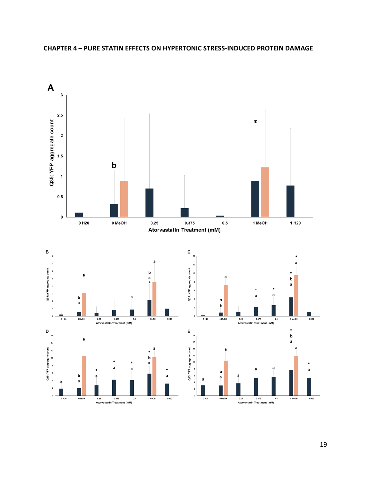

### **CHAPTER 4 – PURE STATIN EFFECTS ON HYPERTONIC STRESS-INDUCED PROTEIN DAMAGE**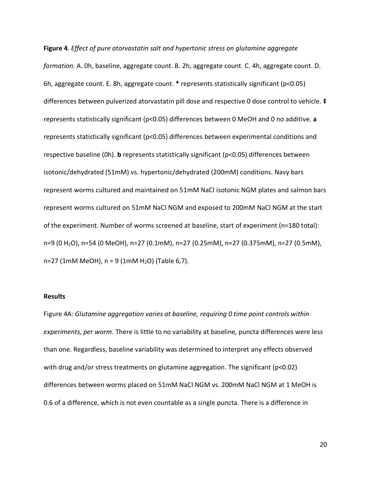**Figure 4**. *Effect of pure atorvastatin salt and hypertonic stress on glutamine aggregate formation.* A. 0h, baseline, aggregate count. B. 2h, aggregate count. C. 4h, aggregate count. D. 6h, aggregate count. E. 8h, aggregate count. **\*** represents statistically significant (p<0.05) differences between pulverized atorvastatin pill dose and respective 0 dose control to vehicle. **‡** represents statistically significant (p<0.05) differences between 0 MeOH and 0 no additive. **a** represents statistically significant (p<0.05) differences between experimental conditions and respective baseline (0h). **b** represents statistically significant (p<0.05) differences between isotonic/dehydrated (51mM) vs. hypertonic/dehydrated (200mM) conditions. Navy bars represent worms cultured and maintained on 51mM NaCl isotonic NGM plates and salmon bars represent worms cultured on 51mM NaCl NGM and exposed to 200mM NaCl NGM at the start of the experiment. Number of worms screened at baseline, start of experiment (n=180 total): n=9 (0 H2O), n=54 (0 MeOH), n=27 (0.1mM), n=27 (0.25mM), n=27 (0.375mM), n=27 (0.5mM),  $n=27$  (1mM MeOH),  $n = 9$  (1mM H<sub>2</sub>O) (Table 6,7).

### **Results**

Figure 4A: *Glutamine aggregation varies at baseline, requiring 0 time point controls within experiments, per worm.* There is little to no variability at baseline, puncta differences were less than one. Regardless, baseline variability was determined to interpret any effects observed with drug and/or stress treatments on glutamine aggregation. The significant (p<0.02) differences between worms placed on 51mM NaCl NGM vs. 200mM NaCl NGM at 1 MeOH is 0.6 of a difference, which is not even countable as a single puncta. There is a difference in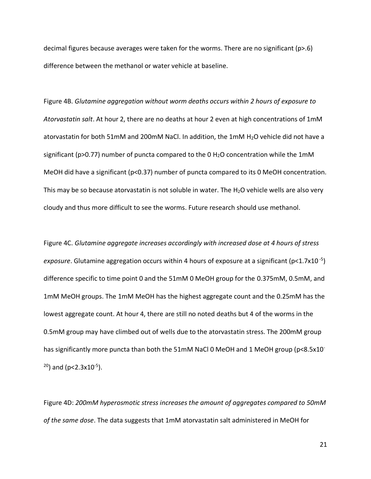decimal figures because averages were taken for the worms. There are no significant ( $p>6$ ) difference between the methanol or water vehicle at baseline.

Figure 4B. *Glutamine aggregation without worm deaths occurs within 2 hours of exposure to Atorvastatin salt*. At hour 2, there are no deaths at hour 2 even at high concentrations of 1mM atorvastatin for both 51mM and 200mM NaCl. In addition, the 1mM  $H_2O$  vehicle did not have a significant (p>0.77) number of puncta compared to the 0  $H_2O$  concentration while the 1mM MeOH did have a significant (p<0.37) number of puncta compared to its 0 MeOH concentration. This may be so because atorvastatin is not soluble in water. The  $H_2O$  vehicle wells are also very cloudy and thus more difficult to see the worms. Future research should use methanol.

Figure 4C. *Glutamine aggregate increases accordingly with increased dose at 4 hours of stress*  exposure. Glutamine aggregation occurs within 4 hours of exposure at a significant (p<1.7x10<sup>-5</sup>) difference specific to time point 0 and the 51mM 0 MeOH group for the 0.375mM, 0.5mM, and 1mM MeOH groups. The 1mM MeOH has the highest aggregate count and the 0.25mM has the lowest aggregate count. At hour 4, there are still no noted deaths but 4 of the worms in the 0.5mM group may have climbed out of wells due to the atorvastatin stress. The 200mM group has significantly more puncta than both the 51mM NaCl 0 MeOH and 1 MeOH group (p<8.5x10<sup>-</sup> <sup>20</sup>) and (p<2.3x10<sup>-5</sup>).

Figure 4D: *200mM hyperosmotic stress increases the amount of aggregates compared to 50mM of the same dose*. The data suggests that 1mM atorvastatin salt administered in MeOH for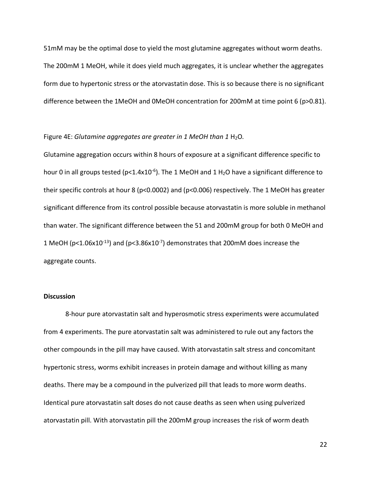51mM may be the optimal dose to yield the most glutamine aggregates without worm deaths. The 200mM 1 MeOH, while it does yield much aggregates, it is unclear whether the aggregates form due to hypertonic stress or the atorvastatin dose. This is so because there is no significant difference between the 1MeOH and 0MeOH concentration for 200mM at time point 6 (p>0.81).

### Figure 4E: *Glutamine aggregates are greater in 1 MeOH than 1 H<sub>2</sub>O.*

Glutamine aggregation occurs within 8 hours of exposure at a significant difference specific to hour 0 in all groups tested (p<1.4x10<sup>-6</sup>). The 1 MeOH and 1 H<sub>2</sub>O have a significant difference to their specific controls at hour 8 (p<0.0002) and (p<0.006) respectively. The 1 MeOH has greater significant difference from its control possible because atorvastatin is more soluble in methanol than water. The significant difference between the 51 and 200mM group for both 0 MeOH and 1 MeOH (p<1.06x10<sup>-13</sup>) and (p<3.86x10<sup>-7</sup>) demonstrates that 200mM does increase the aggregate counts.

### **Discussion**

8-hour pure atorvastatin salt and hyperosmotic stress experiments were accumulated from 4 experiments. The pure atorvastatin salt was administered to rule out any factors the other compounds in the pill may have caused. With atorvastatin salt stress and concomitant hypertonic stress, worms exhibit increases in protein damage and without killing as many deaths. There may be a compound in the pulverized pill that leads to more worm deaths. Identical pure atorvastatin salt doses do not cause deaths as seen when using pulverized atorvastatin pill. With atorvastatin pill the 200mM group increases the risk of worm death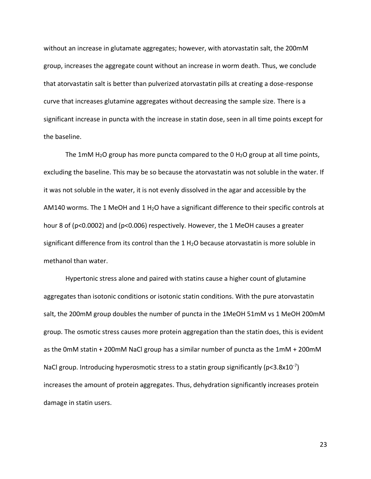without an increase in glutamate aggregates; however, with atorvastatin salt, the 200mM group, increases the aggregate count without an increase in worm death. Thus, we conclude that atorvastatin salt is better than pulverized atorvastatin pills at creating a dose-response curve that increases glutamine aggregates without decreasing the sample size. There is a significant increase in puncta with the increase in statin dose, seen in all time points except for the baseline.

The 1mM H<sub>2</sub>O group has more puncta compared to the 0 H<sub>2</sub>O group at all time points, excluding the baseline. This may be so because the atorvastatin was not soluble in the water. If it was not soluble in the water, it is not evenly dissolved in the agar and accessible by the AM140 worms. The 1 MeOH and 1 H<sub>2</sub>O have a significant difference to their specific controls at hour 8 of (p<0.0002) and (p<0.006) respectively. However, the 1 MeOH causes a greater significant difference from its control than the 1 H<sub>2</sub>O because atorvastatin is more soluble in methanol than water.

Hypertonic stress alone and paired with statins cause a higher count of glutamine aggregates than isotonic conditions or isotonic statin conditions. With the pure atorvastatin salt, the 200mM group doubles the number of puncta in the 1MeOH 51mM vs 1 MeOH 200mM group. The osmotic stress causes more protein aggregation than the statin does, this is evident as the 0mM statin + 200mM NaCl group has a similar number of puncta as the 1mM + 200mM NaCl group. Introducing hyperosmotic stress to a statin group significantly (p<3.8x10<sup>-7</sup>) increases the amount of protein aggregates. Thus, dehydration significantly increases protein damage in statin users.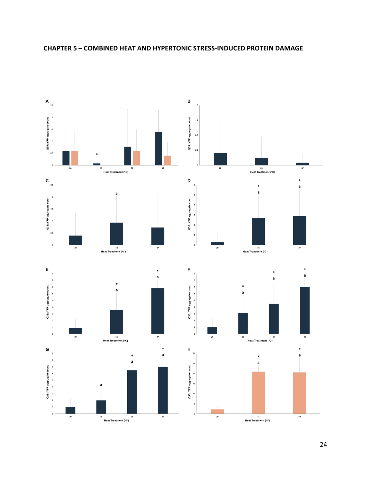

### **CHAPTER 5 – COMBINED HEAT AND HYPERTONIC STRESS-INDUCED PROTEIN DAMAGE**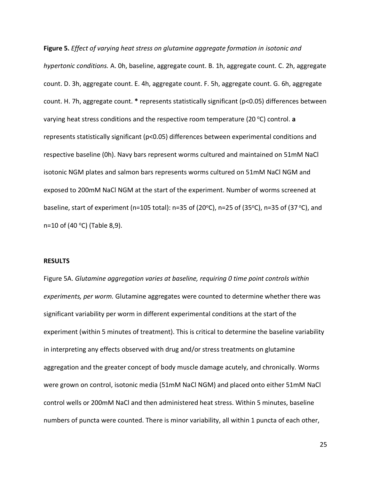**Figure 5.** *Effect of varying heat stress on glutamine aggregate formation in isotonic and hypertonic conditions.* A. 0h, baseline, aggregate count. B. 1h, aggregate count. C. 2h, aggregate count. D. 3h, aggregate count. E. 4h, aggregate count. F. 5h, aggregate count. G. 6h, aggregate count. H. 7h, aggregate count. **\*** represents statistically significant (p<0.05) differences between varying heat stress conditions and the respective room temperature (20 °C) control. a represents statistically significant (p<0.05) differences between experimental conditions and respective baseline (0h). Navy bars represent worms cultured and maintained on 51mM NaCl isotonic NGM plates and salmon bars represents worms cultured on 51mM NaCl NGM and exposed to 200mM NaCl NGM at the start of the experiment. Number of worms screened at baseline, start of experiment (n=105 total): n=35 of (20 $\degree$ C), n=25 of (35 $\degree$ C), n=35 of (37 $\degree$ C), and n=10 of (40  $^{\circ}$ C) (Table 8,9).

### **RESULTS**

Figure 5A. *Glutamine aggregation varies at baseline, requiring 0 time point controls within experiments, per worm.* Glutamine aggregates were counted to determine whether there was significant variability per worm in different experimental conditions at the start of the experiment (within 5 minutes of treatment). This is critical to determine the baseline variability in interpreting any effects observed with drug and/or stress treatments on glutamine aggregation and the greater concept of body muscle damage acutely, and chronically. Worms were grown on control, isotonic media (51mM NaCl NGM) and placed onto either 51mM NaCl control wells or 200mM NaCl and then administered heat stress. Within 5 minutes, baseline numbers of puncta were counted. There is minor variability, all within 1 puncta of each other,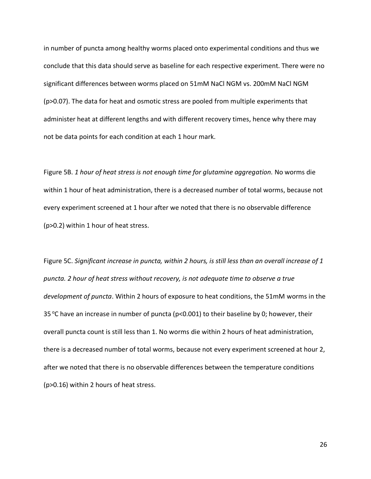in number of puncta among healthy worms placed onto experimental conditions and thus we conclude that this data should serve as baseline for each respective experiment. There were no significant differences between worms placed on 51mM NaCl NGM vs. 200mM NaCl NGM (p>0.07). The data for heat and osmotic stress are pooled from multiple experiments that administer heat at different lengths and with different recovery times, hence why there may not be data points for each condition at each 1 hour mark.

Figure 5B. *1 hour of heat stress is not enough time for glutamine aggregation.* No worms die within 1 hour of heat administration, there is a decreased number of total worms, because not every experiment screened at 1 hour after we noted that there is no observable difference (p>0.2) within 1 hour of heat stress.

Figure 5C. *Significant increase in puncta, within 2 hours, is still less than an overall increase of 1 puncta. 2 hour of heat stress without recovery, is not adequate time to observe a true development of puncta*. Within 2 hours of exposure to heat conditions, the 51mM worms in the 35 °C have an increase in number of puncta ( $p$ <0.001) to their baseline by 0; however, their overall puncta count is still less than 1. No worms die within 2 hours of heat administration, there is a decreased number of total worms, because not every experiment screened at hour 2, after we noted that there is no observable differences between the temperature conditions (p>0.16) within 2 hours of heat stress.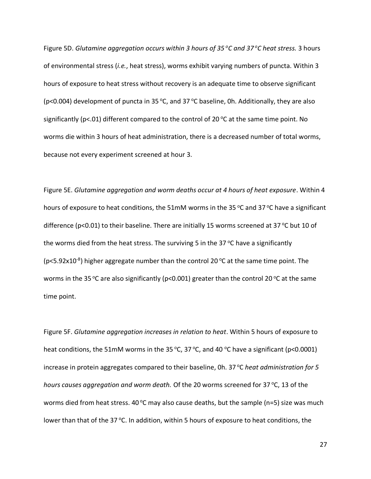Figure 5D. *Glutamine aggregation occurs within 3 hours of 35 <sup>o</sup>C and 37 <sup>o</sup>C heat stress.* 3 hours of environmental stress (*i.e.*, heat stress), worms exhibit varying numbers of puncta. Within 3 hours of exposure to heat stress without recovery is an adequate time to observe significant ( $p$ <0.004) development of puncta in 35 °C, and 37 °C baseline, 0h. Additionally, they are also significantly ( $p$ <.01) different compared to the control of 20 °C at the same time point. No worms die within 3 hours of heat administration, there is a decreased number of total worms, because not every experiment screened at hour 3.

Figure 5E. *Glutamine aggregation and worm deaths occur at 4 hours of heat exposure*. Within 4 hours of exposure to heat conditions, the 51mM worms in the 35 °C and 37 °C have a significant difference (p<0.01) to their baseline. There are initially 15 worms screened at 37 °C but 10 of the worms died from the heat stress. The surviving 5 in the 37  $\degree$ C have a significantly (p<5.92x10<sup>-8</sup>) higher aggregate number than the control 20 °C at the same time point. The worms in the 35 °C are also significantly (p<0.001) greater than the control 20 °C at the same time point.

Figure 5F. *Glutamine aggregation increases in relation to heat*. Within 5 hours of exposure to heat conditions, the 51mM worms in the 35 °C, 37 °C, and 40 °C have a significant (p<0.0001) increase in protein aggregates compared to their baseline, 0h. 37 °C *heat administration for 5 hours causes aggregation and worm death.* Of the 20 worms screened for 37 °C, 13 of the worms died from heat stress. 40 °C may also cause deaths, but the sample (n=5) size was much lower than that of the 37 °C. In addition, within 5 hours of exposure to heat conditions, the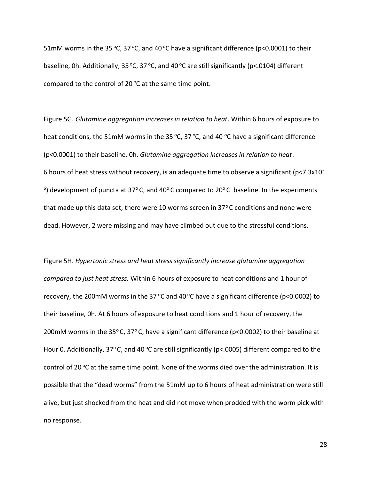51mM worms in the 35 °C, 37 °C, and 40 °C have a significant difference (p<0.0001) to their baseline, 0h. Additionally, 35 °C, 37 °C, and 40 °C are still significantly (p<.0104) different compared to the control of 20 $\degree$ C at the same time point.

Figure 5G. *Glutamine aggregation increases in relation to heat*. Within 6 hours of exposure to heat conditions, the 51mM worms in the 35 °C, 37 °C, and 40 °C have a significant difference (p<0.0001) to their baseline, 0h. *Glutamine aggregation increases in relation to heat*. 6 hours of heat stress without recovery, is an adequate time to observe a significant ( $p<7.3x10^ ^6$ ) development of puncta at 37 $^{\circ}$  C, and 40 $^{\circ}$  C compared to 20 $^{\circ}$  C baseline. In the experiments that made up this data set, there were 10 worms screen in 37 $\degree$ C conditions and none were dead. However, 2 were missing and may have climbed out due to the stressful conditions.

Figure 5H. *Hypertonic stress and heat stress significantly increase glutamine aggregation compared to just heat stress.* Within 6 hours of exposure to heat conditions and 1 hour of recovery, the 200mM worms in the 37 °C and 40 °C have a significant difference ( $p$ <0.0002) to their baseline, 0h. At 6 hours of exposure to heat conditions and 1 hour of recovery, the 200mM worms in the 35°C, 37°C, have a significant difference ( $p$ <0.0002) to their baseline at Hour 0. Additionally, 37 $\degree$ C, and 40 $\degree$ C are still significantly (p<.0005) different compared to the control of 20 $\degree$ C at the same time point. None of the worms died over the administration. It is possible that the "dead worms" from the 51mM up to 6 hours of heat administration were still alive, but just shocked from the heat and did not move when prodded with the worm pick with no response.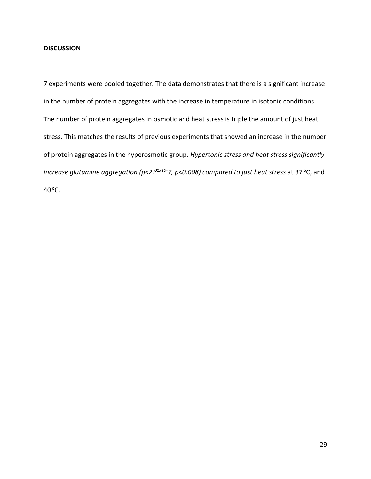### **DISCUSSION**

7 experiments were pooled together. The data demonstrates that there is a significant increase in the number of protein aggregates with the increase in temperature in isotonic conditions. The number of protein aggregates in osmotic and heat stress is triple the amount of just heat stress. This matches the results of previous experiments that showed an increase in the number of protein aggregates in the hyperosmotic group. *Hypertonic stress and heat stress significantly increase glutamine aggregation (p<2.<sup>01x10-</sup>7, p<0.008) compared to just heat stress* at 37 °C, and 40 °C.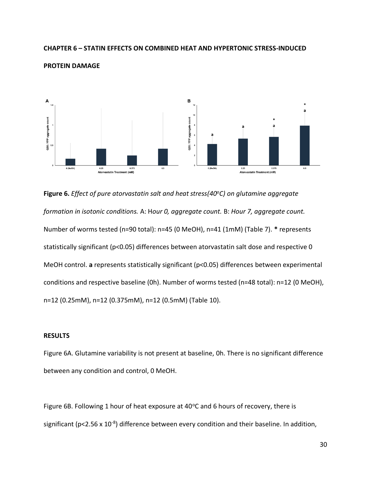### **CHAPTER 6 – STATIN EFFECTS ON COMBINED HEAT AND HYPERTONIC STRESS-INDUCED**



#### **PROTEIN DAMAGE**

**Figure 6.** *Effect of pure atorvastatin salt and heat stress(40<sup>o</sup>C) on glutamine aggregate formation in isotonic conditions.* A: H*our 0, aggregate count.* B: *Hour 7, aggregate count.*  Number of worms tested (n=90 total): n=45 (0 MeOH), n=41 (1mM) (Table 7). **\*** represents statistically significant (p<0.05) differences between atorvastatin salt dose and respective 0 MeOH control. **a** represents statistically significant (p<0.05) differences between experimental conditions and respective baseline (0h). Number of worms tested (n=48 total): n=12 (0 MeOH), n=12 (0.25mM), n=12 (0.375mM), n=12 (0.5mM) (Table 10).

### **RESULTS**

Figure 6A. Glutamine variability is not present at baseline, 0h. There is no significant difference between any condition and control, 0 MeOH.

Figure 6B. Following 1 hour of heat exposure at  $40^{\circ}$ C and 6 hours of recovery, there is significant (p<2.56 x  $10^{-8}$ ) difference between every condition and their baseline. In addition,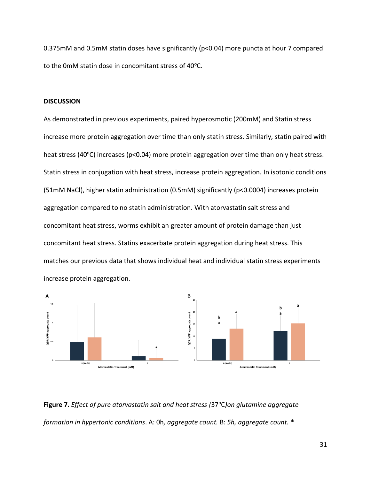0.375mM and 0.5mM statin doses have significantly (p<0.04) more puncta at hour 7 compared to the 0mM statin dose in concomitant stress of  $40^{\circ}$ C.

### **DISCUSSION**

As demonstrated in previous experiments, paired hyperosmotic (200mM) and Statin stress increase more protein aggregation over time than only statin stress. Similarly, statin paired with heat stress (40 $\degree$ C) increases (p<0.04) more protein aggregation over time than only heat stress. Statin stress in conjugation with heat stress, increase protein aggregation. In isotonic conditions (51mM NaCl), higher statin administration (0.5mM) significantly (p<0.0004) increases protein aggregation compared to no statin administration. With atorvastatin salt stress and concomitant heat stress, worms exhibit an greater amount of protein damage than just concomitant heat stress. Statins exacerbate protein aggregation during heat stress. This matches our previous data that shows individual heat and individual statin stress experiments increase protein aggregation.



**Figure 7.** *Effect of pure atorvastatin salt and heat stress (*37<sup>o</sup>C*)on glutamine aggregate formation in hypertonic conditions*. A: 0h*, aggregate count.* B: *5h, aggregate count.* **\***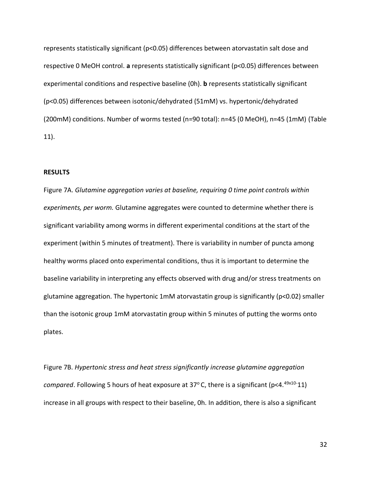represents statistically significant (p<0.05) differences between atorvastatin salt dose and respective 0 MeOH control. **a** represents statistically significant (p<0.05) differences between experimental conditions and respective baseline (0h). **b** represents statistically significant (p<0.05) differences between isotonic/dehydrated (51mM) vs. hypertonic/dehydrated (200mM) conditions. Number of worms tested (n=90 total): n=45 (0 MeOH), n=45 (1mM) (Table 11).

#### **RESULTS**

Figure 7A. *Glutamine aggregation varies at baseline, requiring 0 time point controls within experiments, per worm.* Glutamine aggregates were counted to determine whether there is significant variability among worms in different experimental conditions at the start of the experiment (within 5 minutes of treatment). There is variability in number of puncta among healthy worms placed onto experimental conditions, thus it is important to determine the baseline variability in interpreting any effects observed with drug and/or stress treatments on glutamine aggregation. The hypertonic 1mM atorvastatin group is significantly (p<0.02) smaller than the isotonic group 1mM atorvastatin group within 5 minutes of putting the worms onto plates.

Figure 7B. *Hypertonic stress and heat stress significantly increase glutamine aggregation compared*. Following 5 hours of heat exposure at 37°C, there is a significant (p<4.<sup>49x10-</sup>11) increase in all groups with respect to their baseline, 0h. In addition, there is also a significant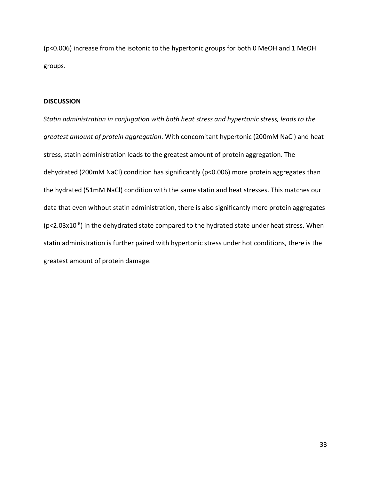(p<0.006) increase from the isotonic to the hypertonic groups for both 0 MeOH and 1 MeOH groups.

### **DISCUSSION**

*Statin administration in conjugation with both heat stress and hypertonic stress, leads to the greatest amount of protein aggregation*. With concomitant hypertonic (200mM NaCl) and heat stress, statin administration leads to the greatest amount of protein aggregation. The dehydrated (200mM NaCl) condition has significantly (p<0.006) more protein aggregates than the hydrated (51mM NaCl) condition with the same statin and heat stresses. This matches our data that even without statin administration, there is also significantly more protein aggregates ( $p$ <2.03x10<sup>-6</sup>) in the dehydrated state compared to the hydrated state under heat stress. When statin administration is further paired with hypertonic stress under hot conditions, there is the greatest amount of protein damage.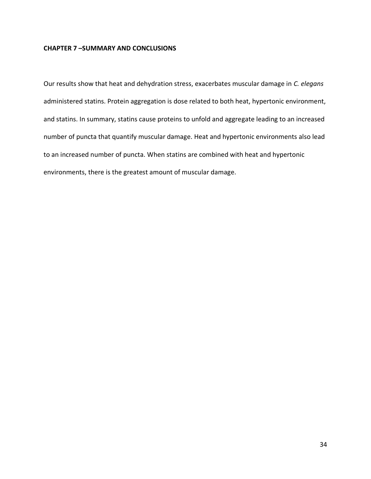### **CHAPTER 7 –SUMMARY AND CONCLUSIONS**

Our results show that heat and dehydration stress, exacerbates muscular damage in *C. elegans* administered statins. Protein aggregation is dose related to both heat, hypertonic environment, and statins. In summary, statins cause proteins to unfold and aggregate leading to an increased number of puncta that quantify muscular damage. Heat and hypertonic environments also lead to an increased number of puncta. When statins are combined with heat and hypertonic environments, there is the greatest amount of muscular damage.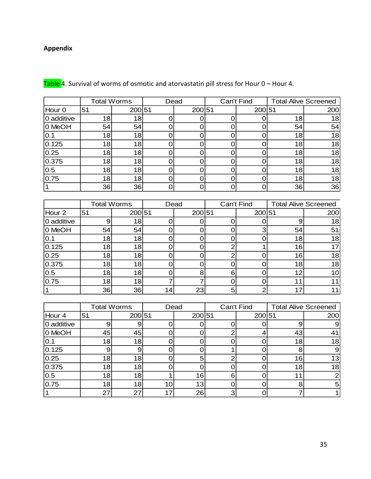## **Appendix**

|            |                 | <b>Total Worms</b> | Dead |        | Can't Find |        | <b>Total Alive Screened</b> |     |
|------------|-----------------|--------------------|------|--------|------------|--------|-----------------------------|-----|
| Hour 0     | 51              | 200 51             |      | 200 51 |            | 200 51 |                             | 200 |
| 0 additive | 18 <sub>l</sub> | 18                 |      |        |            |        | 18                          | 18  |
| 0 MeOH     | 54              | 54                 |      |        |            |        | 54                          | 54  |
| 0.1        | 18              | 18                 |      |        |            |        | 18                          | 18  |
| 0.125      | 18              | 18                 |      |        |            |        | 18                          | 18  |
| 0.25       | 18              | 18                 |      |        |            |        | 18                          | 18  |
| 0.375      | 18              | 18                 |      |        |            |        | 18                          | 18  |
| 0.5        | 18              | 18                 |      |        |            |        | 18                          | 18  |
| 0.75       | 18              | 18                 |      |        |            |        | 18                          | 18  |
|            | 36              | 36                 |      |        |            |        | 36                          | 36  |

Table 4. Survival of worms of osmotic and atorvastatin pill stress for Hour 0 – Hour 4.

|                   | <b>Total Worms</b> |                 | Dead            |        |   | Can't Find |    | <b>Total Alive Screened</b> |  |
|-------------------|--------------------|-----------------|-----------------|--------|---|------------|----|-----------------------------|--|
| Hour <sub>2</sub> | 51                 | 200 51          |                 | 200 51 |   | 200 51     |    | 200                         |  |
| 0 additive        |                    | 18 <sub>l</sub> |                 |        |   |            |    | 18 <sub>l</sub>             |  |
| 0 MeOH            | 54                 | 54              |                 |        |   |            | 54 | 51                          |  |
| 10.1              | 18                 | 18              |                 |        |   |            | 18 | 18                          |  |
| 0.125             | 18                 | 18              |                 |        | ⌒ |            | 16 |                             |  |
| 0.25              | 18                 | 18              |                 |        | ⌒ |            | 16 | 18                          |  |
| 0.375             | 18                 | 18              |                 |        |   |            | 18 | 18                          |  |
| 0.5               | 18                 | 18              |                 | 8      | 6 |            | 12 | 10                          |  |
| 0.75              | 18                 | 18              |                 |        |   |            |    |                             |  |
|                   | 36                 | 36              | 14 <sub>1</sub> | 23     | 5 |            |    |                             |  |

|            | <b>Total Worms</b> |        |    | Dead            |   | Can't Find |    | <b>Total Alive Screened</b> |
|------------|--------------------|--------|----|-----------------|---|------------|----|-----------------------------|
| Hour 4     | 51                 | 200 51 |    | 200 51          |   | 200 51     |    | 200                         |
| 0 additive | 9                  |        |    |                 |   |            |    | 9                           |
| 0 MeOH     | 45                 | 45     |    |                 |   |            | 43 | 41                          |
| 0.1        | 18                 | 18     |    |                 |   |            | 18 | 18                          |
| 0.125      | 9                  | 9      |    |                 |   |            | 8  | $\overline{9}$              |
| 0.25       | 18                 | 18     |    | 5               | ◠ |            | 16 | 13                          |
| 0.375      | 18                 | 18     |    |                 |   |            | 18 | 18                          |
| 0.5        | 18                 | 18     |    | 16              | 6 |            | 11 | $\overline{2}$              |
| 0.75       | 18                 | 18     | 10 | 13 <sub>l</sub> |   |            | 8  | 5 <sub>l</sub>              |
|            | 27                 | 27     | 17 | 26              | ⌒ |            |    |                             |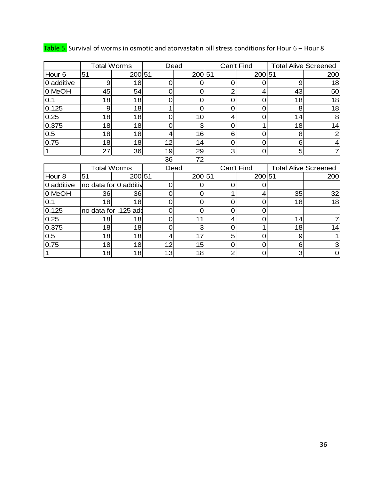|                   | <b>Total Worms</b>    |                      | Dead     |        | Can't Find     |            | <b>Total Alive Screened</b> |                             |  |
|-------------------|-----------------------|----------------------|----------|--------|----------------|------------|-----------------------------|-----------------------------|--|
| Hour 6            | 51                    | 200 51               |          | 200 51 |                | 200 51     |                             | 200                         |  |
| 0 additive        | 9                     | 18                   | O        | O      | O              | O          | 9                           | 18                          |  |
| 0 MeOH            | 45                    | 54                   | 0        | O      | 2              |            | 43                          | 50                          |  |
| 0.1               | 18                    | 18                   | 0        | 0      | 0              | O          | 18                          | 18                          |  |
| 0.125             | 9                     | 18                   |          | 0      | 0              | 0          | 8                           | 18                          |  |
| 0.25              | 18                    | 18                   | 0        | 10     | 4              | 0          | 14                          | 8                           |  |
| 0.375             | 18                    | 18                   | 0        | 3      | 0              |            | 18                          | 14                          |  |
| 0.5               | 18                    | 18                   | 4        | 16     | 6              | 0          | 8                           | 2                           |  |
| 0.75              | 18                    | 18                   | 12       | 14     | 0              | O          | 6                           |                             |  |
| $\vert$ 1         | 27                    | 36                   | 19       | 29     | $\overline{3}$ | 0          | 5                           |                             |  |
|                   |                       |                      | 36       | 72     |                |            |                             |                             |  |
|                   | <b>Total Worms</b>    |                      | Dead     |        |                | Can't Find |                             | <b>Total Alive Screened</b> |  |
| Hour <sub>8</sub> | 51                    | 20051                |          | 200 51 |                | 200 51     |                             | 200                         |  |
| 0 additive        | no data for 0 additiv |                      | $\Omega$ | O      | O              | O          |                             |                             |  |
| 0 MeOH            | 36                    | 36                   | 0        | 0      |                | 4          | 35                          | 32                          |  |
| 0.1               | 18                    | 18                   | 0        | 0      | 0              | 0          | 18                          | 18                          |  |
| 0.125             |                       | no data for .125 add | 0        | Ω      | 0              | O          |                             |                             |  |
| 0.25              | 18                    | 18                   | 0        | 11     | 4              | O          | 14                          |                             |  |
| 0.375             | 18                    | 18                   | 0        | 3      | 0              |            | 18                          | 14                          |  |
| 0.5               | 18                    | 18                   | 4        | 17     | 5              | 0          | 9                           |                             |  |
| 0.75              | 18                    | 18                   | 12       | 15     | 0              | 0          | 6                           | 3                           |  |
| $\vert$ 1         | 18                    | 18                   | 13       | 18     | $\overline{2}$ | O          | 3                           | $\overline{0}$              |  |

Table 5. Survival of worms in osmotic and atorvastatin pill stress conditions for Hour 6 – Hour 8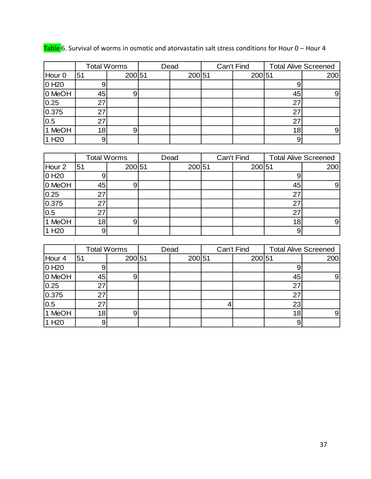|                   | <b>Total Worms</b> |                  | Dead   |                | Can't Find |                             | <b>Total Alive Screened</b> |  |
|-------------------|--------------------|------------------|--------|----------------|------------|-----------------------------|-----------------------------|--|
| Hour 0            | 51                 | 200 51           | 200 51 |                | 200 51     |                             | 200                         |  |
| 0H20              | 9                  |                  |        |                |            | 9                           |                             |  |
| 0 MeOH            | 45                 | $\boldsymbol{9}$ |        |                |            | 45                          | $\boldsymbol{9}$            |  |
| 0.25              | 27                 |                  |        |                |            | 27                          |                             |  |
| 0.375             | 27                 |                  |        |                |            | 27                          |                             |  |
| 0.5               | 27                 |                  |        |                |            | 27                          |                             |  |
| 1 MeOH            | 18                 | 9                |        |                |            | 18                          | 9                           |  |
| 1 H <sub>20</sub> | $\mathsf 9$        |                  |        |                |            | 9                           |                             |  |
|                   |                    |                  |        |                |            |                             |                             |  |
|                   | <b>Total Worms</b> |                  | Dead   |                | Can't Find | <b>Total Alive Screened</b> |                             |  |
| Hour 2            | 51                 | 200 51           | 200 51 |                | 200 51     |                             | 200                         |  |
| 0H20              | 9                  |                  |        |                |            | 9                           |                             |  |
| 0 MeOH            | 45                 | 9                |        |                |            | 45                          | 9                           |  |
| 0.25              | 27                 |                  |        |                |            | 27                          |                             |  |
| 0.375             | 27                 |                  |        |                |            | 27                          |                             |  |
| 0.5               | 27                 |                  |        |                |            | 27                          |                             |  |
| 1 MeOH            | 18                 | 9                |        |                |            | 18                          | $\boldsymbol{9}$            |  |
| 1 H <sub>20</sub> | 9                  |                  |        |                |            | 9                           |                             |  |
|                   |                    |                  |        |                |            |                             |                             |  |
|                   | <b>Total Worms</b> |                  | Dead   |                | Can't Find | <b>Total Alive Screened</b> |                             |  |
| Hour 4            | 51                 | 200 51           | 200 51 |                | 200 51     |                             | 200                         |  |
| 0H20              | 9                  |                  |        |                |            | 9                           |                             |  |
| 0 MeOH            | 45                 | 9                |        |                |            | 45                          | 9                           |  |
| 0.25              | 27                 |                  |        |                |            | 27                          |                             |  |
| 0.375             | 27                 |                  |        |                |            | 27                          |                             |  |
| 0.5               | 27                 |                  |        | $\overline{4}$ |            | 23                          |                             |  |
| 1 MeOH            | 18                 | 9                |        |                |            | 18                          | 9                           |  |
| 1 H <sub>20</sub> | 9                  |                  |        |                |            | 9                           |                             |  |

Table 6. Survival of worms in osmotic and atorvastatin salt stress conditions for Hour 0 – Hour 4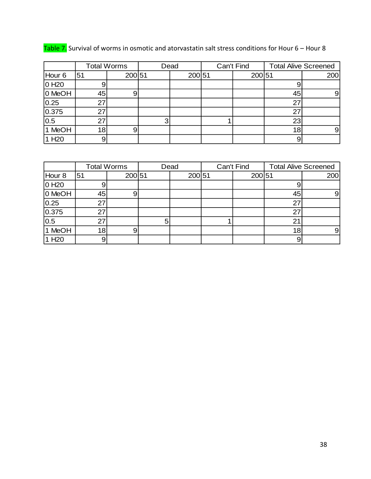|                   | <b>Total Worms</b> |        | Dead |        | Can't Find |        | <b>Total Alive Screened</b> |                |
|-------------------|--------------------|--------|------|--------|------------|--------|-----------------------------|----------------|
| Hour <sub>6</sub> | 51                 | 200 51 |      | 200 51 |            | 200 51 |                             | 200            |
| 0 H <sub>20</sub> |                    |        |      |        |            |        |                             |                |
| 0 MeOH            | 45                 |        |      |        |            |        | 45                          | 91             |
| 0.25              | 27                 |        |      |        |            |        | 27                          |                |
| 0.375             | 27                 |        |      |        |            |        | 27                          |                |
| 0.5               | 27                 |        |      |        |            |        | 23                          |                |
| 1 MeOH            | 18 <sub>l</sub>    |        |      |        |            |        | 18                          | 9 <sub>l</sub> |
| 1 H <sub>20</sub> |                    |        |      |        |            |        | 9                           |                |

Table 7. Survival of worms in osmotic and atorvastatin salt stress conditions for Hour 6 – Hour 8

|                   |    | <b>Total Worms</b> | Can't Find<br>Dead |  | <b>Total Alive Screened</b> |    |     |
|-------------------|----|--------------------|--------------------|--|-----------------------------|----|-----|
| Hour <sub>8</sub> | 51 | 200 51             | 200 51             |  | 200 51                      |    | 200 |
| 0 H <sub>20</sub> |    |                    |                    |  |                             | 9  |     |
| 0 MeOH            | 45 |                    |                    |  |                             | 45 | 9   |
| 0.25              | 27 |                    |                    |  |                             | 27 |     |
| 0.375             | 27 |                    |                    |  |                             | 27 |     |
| 0.5               | 27 |                    |                    |  |                             | 21 |     |
| 1 MeOH            | 18 |                    |                    |  |                             | 18 | 91  |
| 1 H <sub>20</sub> |    |                    |                    |  |                             | 9  |     |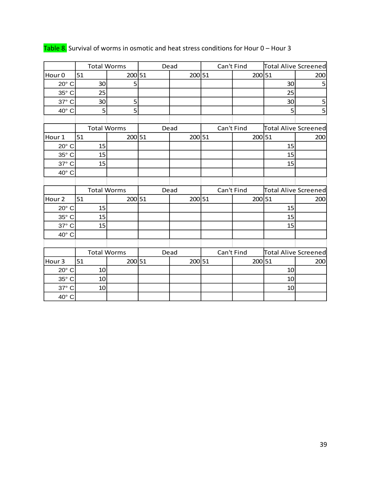|                   |    | <b>Total Worms</b> |      | Dead   | Can't Find |            | Total Alive Screened        |     |
|-------------------|----|--------------------|------|--------|------------|------------|-----------------------------|-----|
| Hour <sub>0</sub> | 51 | 200 51             |      | 200 51 |            | 200 51     |                             | 200 |
| $20^\circ$ C      | 30 | 5                  |      |        |            |            | 30                          | 5   |
| 35° C             | 25 |                    |      |        |            |            | 25                          |     |
| 37° C             | 30 | 5                  |      |        |            |            | 30                          | 5   |
| 40° C             | 5  | 5                  |      |        |            |            | 5                           | 5   |
|                   |    |                    |      |        |            |            |                             |     |
|                   |    | <b>Total Worms</b> |      | Dead   |            | Can't Find | <b>Total Alive Screened</b> |     |
| Hour <sub>1</sub> | 51 | 200 51             |      | 200 51 |            | 200 51     |                             | 200 |
| 20° C             | 15 |                    |      |        |            |            | 15                          |     |
| 35° C             | 15 |                    |      |        |            |            | 15                          |     |
| 37° C             | 15 |                    |      |        |            |            | 15                          |     |
| 40° C             |    |                    |      |        |            |            |                             |     |
|                   |    |                    |      |        |            |            |                             |     |
|                   |    | <b>Total Worms</b> | Dead |        |            | Can't Find | <b>Total Alive Screened</b> |     |
| Hour <sub>2</sub> | 51 | 200 51             |      | 200 51 |            | 200 51     |                             | 200 |
| 20° C             | 15 |                    |      |        |            |            | 15                          |     |
| 35° C             | 15 |                    |      |        |            |            | 15                          |     |
| 37° C             | 15 |                    |      |        |            |            | 15                          |     |
| 40° C             |    |                    |      |        |            |            |                             |     |
|                   |    |                    |      |        |            |            |                             |     |
|                   |    | <b>Total Worms</b> |      | Dead   |            | Can't Find | Total Alive Screened        |     |
| Hour <sub>3</sub> | 51 | 200 51             |      | 200 51 |            | 200 51     |                             | 200 |
| $20^\circ$ C      | 10 |                    |      |        |            |            | 10                          |     |
| 35° C             | 10 |                    |      |        |            |            | 10                          |     |
| 37° C             | 10 |                    |      |        |            |            | 10                          |     |
| 40° C             |    |                    |      |        |            |            |                             |     |

## Table 8. Survival of worms in osmotic and heat stress conditions for Hour 0 – Hour 3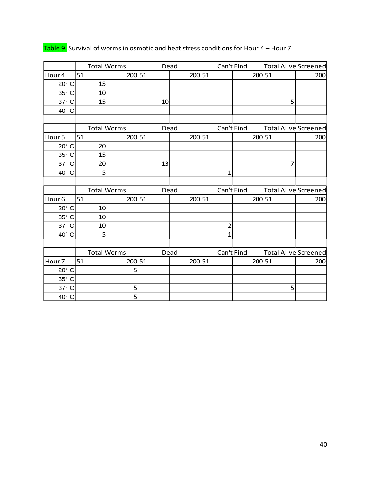|                   | <b>Total Worms</b> |                    | Dead |        |                | Can't Find | <b>Total Alive Screened</b> |     |
|-------------------|--------------------|--------------------|------|--------|----------------|------------|-----------------------------|-----|
| Hour 4            | 51                 | 200 51             |      | 200 51 |                | 200 51     |                             | 200 |
| 20° C             | 15                 |                    |      |        |                |            |                             |     |
| 35° C             | 10                 |                    |      |        |                |            |                             |     |
| 37° C             | 15                 |                    | 10   |        |                |            | 5                           |     |
| 40° C             |                    |                    |      |        |                |            |                             |     |
|                   |                    |                    |      |        |                |            |                             |     |
|                   | <b>Total Worms</b> |                    | Dead |        |                | Can't Find | <b>Total Alive Screened</b> |     |
| Hour <sub>5</sub> | 51                 | 200 51             |      | 200 51 |                | 200 51     |                             | 200 |
| 20° C             | 20                 |                    |      |        |                |            |                             |     |
| 35° C             | 15                 |                    |      |        |                |            |                             |     |
| 37° C             | 20                 |                    | 13   |        |                |            | 7                           |     |
| 40° C             | 5                  |                    |      |        | $\mathbf{1}$   |            |                             |     |
|                   |                    |                    |      |        |                |            |                             |     |
|                   | <b>Total Worms</b> |                    | Dead |        | Can't Find     |            | <b>Total Alive Screened</b> |     |
| Hour <sub>6</sub> | 51                 | 200 51             |      | 200 51 |                | 200 51     |                             | 200 |
| 20° C             | 10                 |                    |      |        |                |            |                             |     |
| 35° C             | 10                 |                    |      |        |                |            |                             |     |
| 37° C             | 10                 |                    |      |        | $\overline{c}$ |            |                             |     |
| 40° C             | 5                  |                    |      |        | $\mathbf{1}$   |            |                             |     |
|                   |                    |                    |      |        |                |            |                             |     |
|                   |                    | <b>Total Worms</b> | Dead |        | Can't Find     |            | <b>Total Alive Screened</b> |     |
| Hour 7            | 51                 | 200 51             |      | 200 51 |                | 200 51     |                             | 200 |
| 20° C             |                    | 5                  |      |        |                |            |                             |     |
| 35° C             |                    |                    |      |        |                |            |                             |     |
| 37° C             |                    | 5                  |      |        |                |            | 5                           |     |
| 40° C             |                    | 5                  |      |        |                |            |                             |     |

## Table 9. Survival of worms in osmotic and heat stress conditions for Hour 4 – Hour 7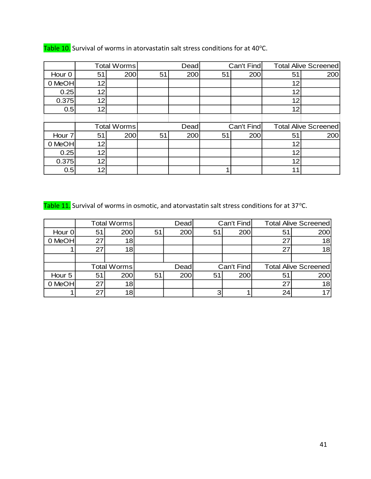|        | Total Worms |             | Dead |      | Can't Find |            | <b>Total Alive Screened</b> |                             |  |
|--------|-------------|-------------|------|------|------------|------------|-----------------------------|-----------------------------|--|
| Hour 0 | 51          | 200         | 51   | 200  | 51         | 200        | 51                          | 200                         |  |
| 0 MeOH | 12          |             |      |      |            |            | 12                          |                             |  |
| 0.25   | 12          |             |      |      |            |            | 12 <sub>1</sub>             |                             |  |
| 0.375  | 12          |             |      |      |            |            | 12                          |                             |  |
| 0.5    | 12          |             |      |      |            |            | 12                          |                             |  |
|        |             |             |      |      |            |            |                             |                             |  |
|        |             | Total Worms |      | Dead |            | Can't Find |                             | <b>Total Alive Screened</b> |  |
| Hour 7 | 51          | 200         | 51   | 200  | 51         | 200        | 51                          | 200                         |  |
| 0 MeOH | 12          |             |      |      |            |            | 12                          |                             |  |
| 0.25   | 12          |             |      |      |            |            | 12                          |                             |  |
| 0.375  | 12          |             |      |      |            |            | 12                          |                             |  |
| 0.5    | 12          |             |      |      |            |            | 11                          |                             |  |

Table 10. Survival of worms in atorvastatin salt stress conditions for at 40°C.

Table 11. Survival of worms in osmotic, and atorvastatin salt stress conditions for at 37°C.

|        |             | Total Worms | Dead |     | Can't Find |     | <b>Total Alive Screened</b> |                 |
|--------|-------------|-------------|------|-----|------------|-----|-----------------------------|-----------------|
| Hour 0 | 51          | 200         | 51   | 200 | 51         | 200 | 51                          | 200             |
| 0 MeOH | 27          | 18          |      |     |            |     | 27                          | 18              |
|        | 27          | 18          |      |     |            |     | 27                          | 18              |
|        |             |             |      |     |            |     |                             |                 |
|        | Total Worms |             | Dead |     | Can't Find |     | <b>Total Alive Screened</b> |                 |
| Hour 5 | 51          | 200         | 51   | 200 | 51         | 200 | 51                          | 200             |
| 0 MeOH | 27          | 18          |      |     |            |     | 27                          | 18              |
|        | 27          | 18          |      |     |            |     | 24                          | 17 <sub>1</sub> |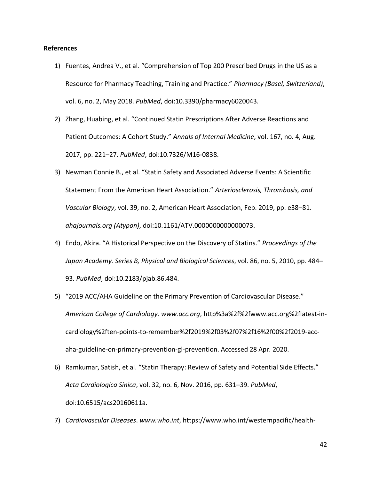### **References**

- 1) Fuentes, Andrea V., et al. "Comprehension of Top 200 Prescribed Drugs in the US as a Resource for Pharmacy Teaching, Training and Practice." *Pharmacy (Basel, Switzerland)*, vol. 6, no. 2, May 2018. *PubMed*, doi:10.3390/pharmacy6020043.
- 2) Zhang, Huabing, et al. "Continued Statin Prescriptions After Adverse Reactions and Patient Outcomes: A Cohort Study." *Annals of Internal Medicine*, vol. 167, no. 4, Aug. 2017, pp. 221–27. *PubMed*, doi:10.7326/M16-0838.
- 3) Newman Connie B., et al. "Statin Safety and Associated Adverse Events: A Scientific Statement From the American Heart Association." *Arteriosclerosis, Thrombosis, and Vascular Biology*, vol. 39, no. 2, American Heart Association, Feb. 2019, pp. e38–81. *ahajournals.org (Atypon)*, doi:10.1161/ATV.0000000000000073.
- 4) Endo, Akira. "A Historical Perspective on the Discovery of Statins." *Proceedings of the Japan Academy. Series B, Physical and Biological Sciences*, vol. 86, no. 5, 2010, pp. 484– 93. *PubMed*, doi:10.2183/pjab.86.484.
- 5) "2019 ACC/AHA Guideline on the Primary Prevention of Cardiovascular Disease." *American College of Cardiology*. *www.acc.org*, http%3a%2f%2fwww.acc.org%2flatest-incardiology%2ften-points-to-remember%2f2019%2f03%2f07%2f16%2f00%2f2019-accaha-guideline-on-primary-prevention-gl-prevention. Accessed 28 Apr. 2020.
- 6) Ramkumar, Satish, et al. "Statin Therapy: Review of Safety and Potential Side Effects." *Acta Cardiologica Sinica*, vol. 32, no. 6, Nov. 2016, pp. 631–39. *PubMed*, doi:10.6515/acs20160611a.
- 7) *Cardiovascular Diseases*. *www.who.int*, https://www.who.int/westernpacific/health-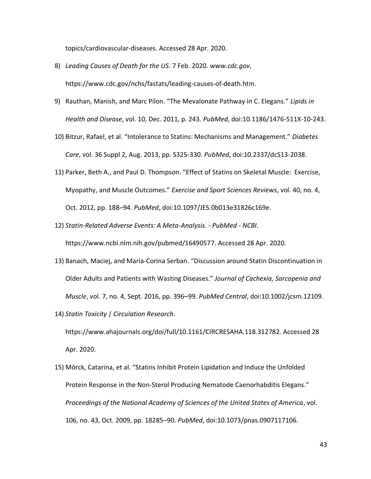topics/cardiovascular-diseases. Accessed 28 Apr. 2020.

- 8) *Leading Causes of Death for the US*. 7 Feb. 2020. *www.cdc.gov*, https://www.cdc.gov/nchs/fastats/leading-causes-of-death.htm.
- 9) Rauthan, Manish, and Marc Pilon. "The Mevalonate Pathway in C. Elegans." *Lipids in Health and Disease*, vol. 10, Dec. 2011, p. 243. *PubMed*, doi:10.1186/1476-511X-10-243.
- 10) Bitzur, Rafael, et al. "Intolerance to Statins: Mechanisms and Management." *Diabetes Care*, vol. 36 Suppl 2, Aug. 2013, pp. S325-330. *PubMed*, doi:10.2337/dcS13-2038.
- 11) Parker, Beth A., and Paul D. Thompson. "Effect of Statins on Skeletal Muscle: Exercise, Myopathy, and Muscle Outcomes." *Exercise and Sport Sciences Reviews*, vol. 40, no. 4, Oct. 2012, pp. 188–94. *PubMed*, doi:10.1097/JES.0b013e31826c169e.
- 12) *Statin-Related Adverse Events: A Meta-Analysis. - PubMed - NCBI*. https://www.ncbi.nlm.nih.gov/pubmed/16490577. Accessed 28 Apr. 2020.
- 13) Banach, Maciej, and Maria‐Corina Serban. "Discussion around Statin Discontinuation in Older Adults and Patients with Wasting Diseases." *Journal of Cachexia, Sarcopenia and Muscle*, vol. 7, no. 4, Sept. 2016, pp. 396–99. *PubMed Central*, doi:10.1002/jcsm.12109.
- 14) *Statin Toxicity | Circulation Research*. https://www.ahajournals.org/doi/full/10.1161/CIRCRESAHA.118.312782. Accessed 28 Apr. 2020.
- 15) Mörck, Catarina, et al. "Statins Inhibit Protein Lipidation and Induce the Unfolded Protein Response in the Non-Sterol Producing Nematode Caenorhabditis Elegans." *Proceedings of the National Academy of Sciences of the United States of America*, vol. 106, no. 43, Oct. 2009, pp. 18285–90. *PubMed*, doi:10.1073/pnas.0907117106.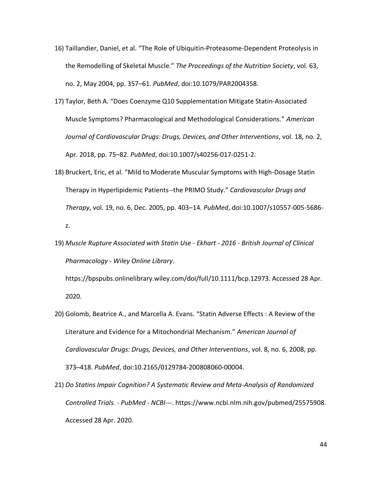- 16) Taillandier, Daniel, et al. "The Role of Ubiquitin-Proteasome-Dependent Proteolysis in the Remodelling of Skeletal Muscle." *The Proceedings of the Nutrition Society*, vol. 63, no. 2, May 2004, pp. 357–61. *PubMed*, doi:10.1079/PAR2004358.
- 17) Taylor, Beth A. "Does Coenzyme Q10 Supplementation Mitigate Statin-Associated Muscle Symptoms? Pharmacological and Methodological Considerations." *American Journal of Cardiovascular Drugs: Drugs, Devices, and Other Interventions*, vol. 18, no. 2, Apr. 2018, pp. 75–82. *PubMed*, doi:10.1007/s40256-017-0251-2.
- 18) Bruckert, Eric, et al. "Mild to Moderate Muscular Symptoms with High-Dosage Statin Therapy in Hyperlipidemic Patients--the PRIMO Study." *Cardiovascular Drugs and Therapy*, vol. 19, no. 6, Dec. 2005, pp. 403–14. *PubMed*, doi:10.1007/s10557-005-5686 z.
- 19) *Muscle Rupture Associated with Statin Use - Ekhart - 2016 - British Journal of Clinical Pharmacology - Wiley Online Library*.

https://bpspubs.onlinelibrary.wiley.com/doi/full/10.1111/bcp.12973. Accessed 28 Apr. 2020.

- 20) Golomb, Beatrice A., and Marcella A. Evans. "Statin Adverse Effects : A Review of the Literature and Evidence for a Mitochondrial Mechanism." *American Journal of Cardiovascular Drugs: Drugs, Devices, and Other Interventions*, vol. 8, no. 6, 2008, pp. 373–418. *PubMed*, doi:10.2165/0129784-200808060-00004.
- 21) *Do Statins Impair Cognition? A Systematic Review and Meta-Analysis of Randomized Controlled Trials. - PubMed - NCBI*---. https://www.ncbi.nlm.nih.gov/pubmed/25575908. Accessed 28 Apr. 2020.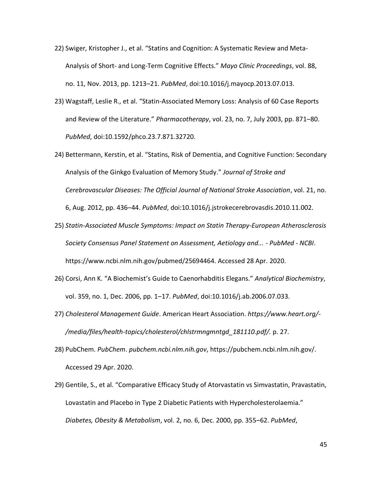- 22) Swiger, Kristopher J., et al. "Statins and Cognition: A Systematic Review and Meta-Analysis of Short- and Long-Term Cognitive Effects." *Mayo Clinic Proceedings*, vol. 88, no. 11, Nov. 2013, pp. 1213–21. *PubMed*, doi:10.1016/j.mayocp.2013.07.013.
- 23) Wagstaff, Leslie R., et al. "Statin-Associated Memory Loss: Analysis of 60 Case Reports and Review of the Literature." *Pharmacotherapy*, vol. 23, no. 7, July 2003, pp. 871–80. *PubMed*, doi:10.1592/phco.23.7.871.32720.
- 24) Bettermann, Kerstin, et al. "Statins, Risk of Dementia, and Cognitive Function: Secondary Analysis of the Ginkgo Evaluation of Memory Study." *Journal of Stroke and Cerebrovascular Diseases: The Official Journal of National Stroke Association*, vol. 21, no. 6, Aug. 2012, pp. 436–44. *PubMed*, doi:10.1016/j.jstrokecerebrovasdis.2010.11.002.
- 25) *Statin-Associated Muscle Symptoms: Impact on Statin Therapy-European Atherosclerosis Society Consensus Panel Statement on Assessment, Aetiology and... - PubMed - NCBI*. https://www.ncbi.nlm.nih.gov/pubmed/25694464. Accessed 28 Apr. 2020.
- 26) Corsi, Ann K. "A Biochemist's Guide to Caenorhabditis Elegans." *Analytical Biochemistry*, vol. 359, no. 1, Dec. 2006, pp. 1–17. *PubMed*, doi:10.1016/j.ab.2006.07.033.
- 27) *Cholesterol Management Guide*. American Heart Association. *https://www.heart.org/- /media/files/health-topics/cholesterol/chlstrmngmntgd\_181110.pdf/.* p. 27.
- 28) PubChem. *PubChem*. *pubchem.ncbi.nlm.nih.gov*, https://pubchem.ncbi.nlm.nih.gov/. Accessed 29 Apr. 2020.
- 29) Gentile, S., et al. "Comparative Efficacy Study of Atorvastatin vs Simvastatin, Pravastatin, Lovastatin and Placebo in Type 2 Diabetic Patients with Hypercholesterolaemia." *Diabetes, Obesity & Metabolism*, vol. 2, no. 6, Dec. 2000, pp. 355–62. *PubMed*,